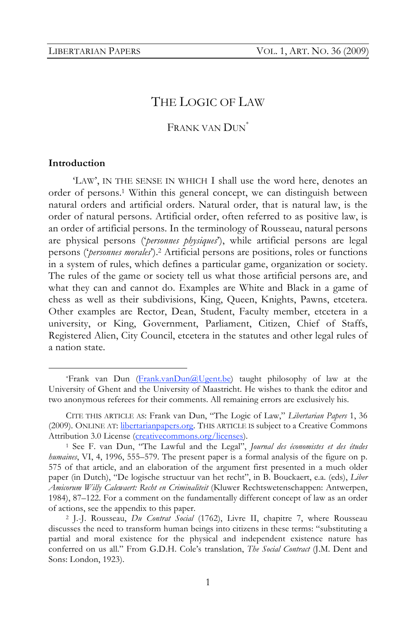# THE LOGIC OF LAW

FRANK VAN DUN<sup>\*</sup>

#### **Introduction**

'LAW', IN THE SENSE IN WHICH I shall use the word here, denotes an order of persons.1 Within this general concept, we can distinguish between natural orders and artificial orders. Natural order, that is natural law, is the order of natural persons. Artificial order, often referred to as positive law, is an order of artificial persons. In the terminology of Rousseau, natural persons are physical persons ('*personnes physiques*'), while artificial persons are legal persons ('*personnes morales*').2 Artificial persons are positions, roles or functions in a system of rules, which defines a particular game, organization or society. The rules of the game or society tell us what those artificial persons are, and what they can and cannot do. Examples are White and Black in a game of chess as well as their subdivisions, King, Queen, Knights, Pawns, etcetera. Other examples are Rector, Dean, Student, Faculty member, etcetera in a university, or King, Government, Parliament, Citizen, Chief of Staffs, Registered Alien, City Council, etcetera in the statutes and other legal rules of a nation state.

 <sup>\*</sup>Frank van Dun (Frank.vanDun@Ugent.be) taught philosophy of law at the University of Ghent and the University of Maastricht. He wishes to thank the editor and two anonymous referees for their comments. All remaining errors are exclusively his.

CITE THIS ARTICLE AS: Frank van Dun, "The Logic of Law," *Libertarian Papers* 1, 36 (2009). ONLINE AT: *libertarianpapers.org*. THIS ARTICLE IS subject to a Creative Commons Attribution 3.0 License (creativecommons.org/licenses).

<sup>1</sup> See F. van Dun, "The Lawful and the Legal", *Journal des économistes et des études humaines*, VI, 4, 1996, 555–579. The present paper is a formal analysis of the figure on p. 575 of that article, and an elaboration of the argument first presented in a much older paper (in Dutch), "De logische structuur van het recht", in B. Bouckaert, e.a. (eds), *Liber Amicorum Willy Calewaert: Recht en Criminaliteit* (Kluwer Rechtswetenschappen: Antwerpen, 1984), 87–122. For a comment on the fundamentally different concept of law as an order of actions, see the appendix to this paper.

<sup>2</sup> J.-J. Rousseau, *Du Contrat Social* (1762), Livre II, chapitre 7, where Rousseau discusses the need to transform human beings into citizens in these terms: "substituting a partial and moral existence for the physical and independent existence nature has conferred on us all." From G.D.H. Cole's translation, *The Social Contract* (J.M. Dent and Sons: London, 1923).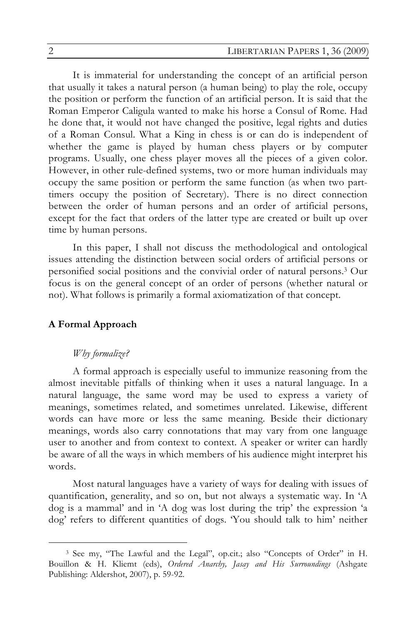It is immaterial for understanding the concept of an artificial person that usually it takes a natural person (a human being) to play the role, occupy the position or perform the function of an artificial person. It is said that the Roman Emperor Caligula wanted to make his horse a Consul of Rome. Had he done that, it would not have changed the positive, legal rights and duties of a Roman Consul. What a King in chess is or can do is independent of whether the game is played by human chess players or by computer programs. Usually, one chess player moves all the pieces of a given color. However, in other rule-defined systems, two or more human individuals may occupy the same position or perform the same function (as when two parttimers occupy the position of Secretary). There is no direct connection between the order of human persons and an order of artificial persons, except for the fact that orders of the latter type are created or built up over time by human persons.

In this paper, I shall not discuss the methodological and ontological issues attending the distinction between social orders of artificial persons or personified social positions and the convivial order of natural persons.3 Our focus is on the general concept of an order of persons (whether natural or not). What follows is primarily a formal axiomatization of that concept.

### **A Formal Approach**

#### *Why formalize?*

A formal approach is especially useful to immunize reasoning from the almost inevitable pitfalls of thinking when it uses a natural language. In a natural language, the same word may be used to express a variety of meanings, sometimes related, and sometimes unrelated. Likewise, different words can have more or less the same meaning. Beside their dictionary meanings, words also carry connotations that may vary from one language user to another and from context to context. A speaker or writer can hardly be aware of all the ways in which members of his audience might interpret his words.

Most natural languages have a variety of ways for dealing with issues of quantification, generality, and so on, but not always a systematic way. In 'A dog is a mammal' and in 'A dog was lost during the trip' the expression 'a dog' refers to different quantities of dogs. 'You should talk to him' neither

 <sup>3</sup> See my, "The Lawful and the Legal", op.cit.; also "Concepts of Order" in H. Bouillon & H. Kliemt (eds), *Ordered Anarchy, Jasay and His Surroundings* (Ashgate Publishing: Aldershot, 2007), p. 59-92.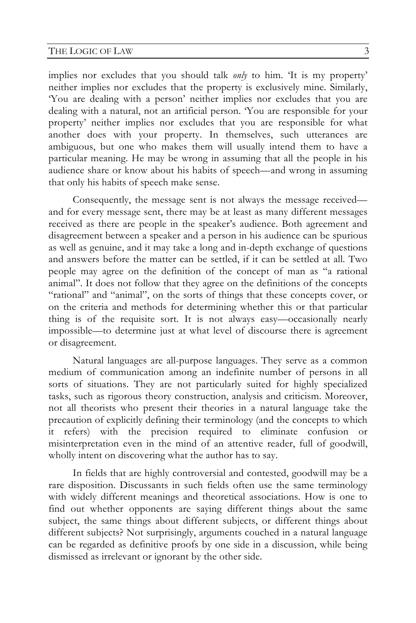#### THE LOGIC OF LAW 3

implies nor excludes that you should talk *only* to him. 'It is my property' neither implies nor excludes that the property is exclusively mine. Similarly, 'You are dealing with a person' neither implies nor excludes that you are dealing with a natural, not an artificial person. 'You are responsible for your property' neither implies nor excludes that you are responsible for what another does with your property. In themselves, such utterances are ambiguous, but one who makes them will usually intend them to have a particular meaning. He may be wrong in assuming that all the people in his audience share or know about his habits of speech—and wrong in assuming that only his habits of speech make sense.

Consequently, the message sent is not always the message received and for every message sent, there may be at least as many different messages received as there are people in the speaker's audience. Both agreement and disagreement between a speaker and a person in his audience can be spurious as well as genuine, and it may take a long and in-depth exchange of questions and answers before the matter can be settled, if it can be settled at all. Two people may agree on the definition of the concept of man as "a rational animal". It does not follow that they agree on the definitions of the concepts "rational" and "animal", on the sorts of things that these concepts cover, or on the criteria and methods for determining whether this or that particular thing is of the requisite sort. It is not always easy—occasionally nearly impossible—to determine just at what level of discourse there is agreement or disagreement.

Natural languages are all-purpose languages. They serve as a common medium of communication among an indefinite number of persons in all sorts of situations. They are not particularly suited for highly specialized tasks, such as rigorous theory construction, analysis and criticism. Moreover, not all theorists who present their theories in a natural language take the precaution of explicitly defining their terminology (and the concepts to which it refers) with the precision required to eliminate confusion or misinterpretation even in the mind of an attentive reader, full of goodwill, wholly intent on discovering what the author has to say.

In fields that are highly controversial and contested, goodwill may be a rare disposition. Discussants in such fields often use the same terminology with widely different meanings and theoretical associations. How is one to find out whether opponents are saying different things about the same subject, the same things about different subjects, or different things about different subjects? Not surprisingly, arguments couched in a natural language can be regarded as definitive proofs by one side in a discussion, while being dismissed as irrelevant or ignorant by the other side.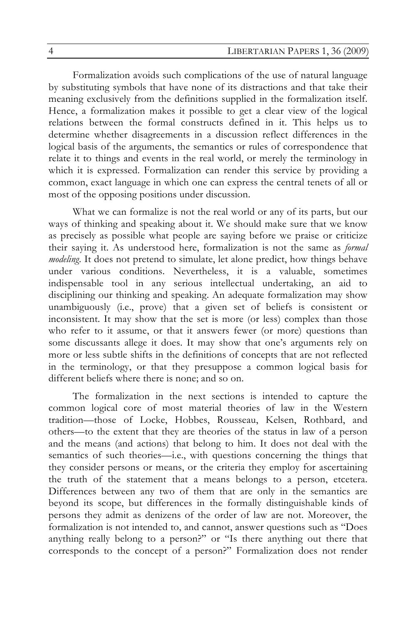Formalization avoids such complications of the use of natural language by substituting symbols that have none of its distractions and that take their meaning exclusively from the definitions supplied in the formalization itself. Hence, a formalization makes it possible to get a clear view of the logical relations between the formal constructs defined in it. This helps us to determine whether disagreements in a discussion reflect differences in the logical basis of the arguments, the semantics or rules of correspondence that relate it to things and events in the real world, or merely the terminology in which it is expressed. Formalization can render this service by providing a common, exact language in which one can express the central tenets of all or most of the opposing positions under discussion.

What we can formalize is not the real world or any of its parts, but our ways of thinking and speaking about it. We should make sure that we know as precisely as possible what people are saying before we praise or criticize their saying it. As understood here, formalization is not the same as *formal modeling*. It does not pretend to simulate, let alone predict, how things behave under various conditions. Nevertheless, it is a valuable, sometimes indispensable tool in any serious intellectual undertaking, an aid to disciplining our thinking and speaking. An adequate formalization may show unambiguously (i.e., prove) that a given set of beliefs is consistent or inconsistent. It may show that the set is more (or less) complex than those who refer to it assume, or that it answers fewer (or more) questions than some discussants allege it does. It may show that one's arguments rely on more or less subtle shifts in the definitions of concepts that are not reflected in the terminology, or that they presuppose a common logical basis for different beliefs where there is none; and so on.

The formalization in the next sections is intended to capture the common logical core of most material theories of law in the Western tradition—those of Locke, Hobbes, Rousseau, Kelsen, Rothbard, and others—to the extent that they are theories of the status in law of a person and the means (and actions) that belong to him. It does not deal with the semantics of such theories—i.e., with questions concerning the things that they consider persons or means, or the criteria they employ for ascertaining the truth of the statement that a means belongs to a person, etcetera. Differences between any two of them that are only in the semantics are beyond its scope, but differences in the formally distinguishable kinds of persons they admit as denizens of the order of law are not. Moreover, the formalization is not intended to, and cannot, answer questions such as "Does anything really belong to a person?" or "Is there anything out there that corresponds to the concept of a person?" Formalization does not render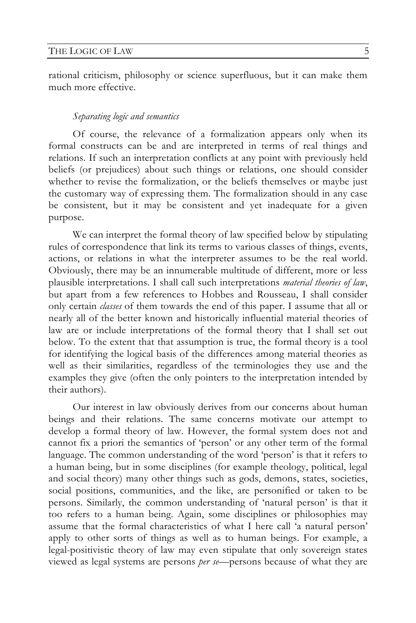rational criticism, philosophy or science superfluous, but it can make them much more effective.

#### *Separating logic and semantics*

Of course, the relevance of a formalization appears only when its formal constructs can be and are interpreted in terms of real things and relations. If such an interpretation conflicts at any point with previously held beliefs (or prejudices) about such things or relations, one should consider whether to revise the formalization, or the beliefs themselves or maybe just the customary way of expressing them. The formalization should in any case be consistent, but it may be consistent and yet inadequate for a given purpose.

We can interpret the formal theory of law specified below by stipulating rules of correspondence that link its terms to various classes of things, events, actions, or relations in what the interpreter assumes to be the real world. Obviously, there may be an innumerable multitude of different, more or less plausible interpretations. I shall call such interpretations *material theories of law*, but apart from a few references to Hobbes and Rousseau, I shall consider only certain *classes* of them towards the end of this paper. I assume that all or nearly all of the better known and historically influential material theories of law are or include interpretations of the formal theory that I shall set out below. To the extent that that assumption is true, the formal theory is a tool for identifying the logical basis of the differences among material theories as well as their similarities, regardless of the terminologies they use and the examples they give (often the only pointers to the interpretation intended by their authors).

Our interest in law obviously derives from our concerns about human beings and their relations. The same concerns motivate our attempt to develop a formal theory of law. However, the formal system does not and cannot fix a priori the semantics of 'person' or any other term of the formal language. The common understanding of the word 'person' is that it refers to a human being, but in some disciplines (for example theology, political, legal and social theory) many other things such as gods, demons, states, societies, social positions, communities, and the like, are personified or taken to be persons. Similarly, the common understanding of 'natural person' is that it too refers to a human being. Again, some disciplines or philosophies may assume that the formal characteristics of what I here call 'a natural person' apply to other sorts of things as well as to human beings. For example, a legal-positivistic theory of law may even stipulate that only sovereign states viewed as legal systems are persons *per se—*persons because of what they are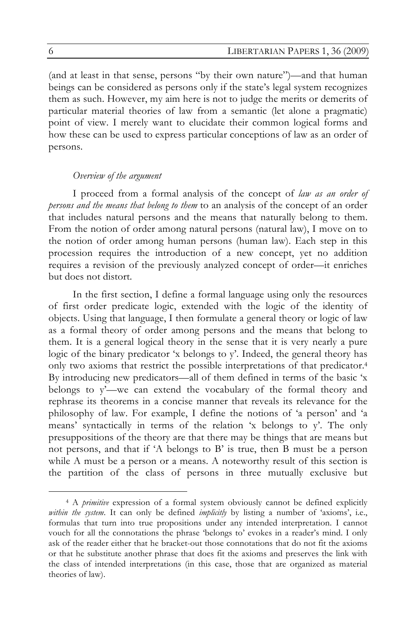(and at least in that sense, persons "by their own nature")—and that human beings can be considered as persons only if the state's legal system recognizes them as such. However, my aim here is not to judge the merits or demerits of particular material theories of law from a semantic (let alone a pragmatic) point of view. I merely want to elucidate their common logical forms and how these can be used to express particular conceptions of law as an order of persons.

#### *Overview of the argument*

I proceed from a formal analysis of the concept of *law as an order of persons and the means that belong to them* to an analysis of the concept of an order that includes natural persons and the means that naturally belong to them. From the notion of order among natural persons (natural law), I move on to the notion of order among human persons (human law). Each step in this procession requires the introduction of a new concept, yet no addition requires a revision of the previously analyzed concept of order—it enriches but does not distort.

In the first section, I define a formal language using only the resources of first order predicate logic, extended with the logic of the identity of objects. Using that language, I then formulate a general theory or logic of law as a formal theory of order among persons and the means that belong to them. It is a general logical theory in the sense that it is very nearly a pure logic of the binary predicator 'x belongs to y'. Indeed, the general theory has only two axioms that restrict the possible interpretations of that predicator.4 By introducing new predicators—all of them defined in terms of the basic 'x belongs to y'—we can extend the vocabulary of the formal theory and rephrase its theorems in a concise manner that reveals its relevance for the philosophy of law. For example, I define the notions of 'a person' and 'a means' syntactically in terms of the relation 'x belongs to y'. The only presuppositions of the theory are that there may be things that are means but not persons, and that if 'A belongs to B' is true, then B must be a person while A must be a person or a means. A noteworthy result of this section is the partition of the class of persons in three mutually exclusive but

 <sup>4</sup> A *primitive* expression of a formal system obviously cannot be defined explicitly *within the system*. It can only be defined *implicitly* by listing a number of 'axioms', i.e., formulas that turn into true propositions under any intended interpretation. I cannot vouch for all the connotations the phrase 'belongs to' evokes in a reader's mind. I only ask of the reader either that he bracket-out those connotations that do not fit the axioms or that he substitute another phrase that does fit the axioms and preserves the link with the class of intended interpretations (in this case, those that are organized as material theories of law).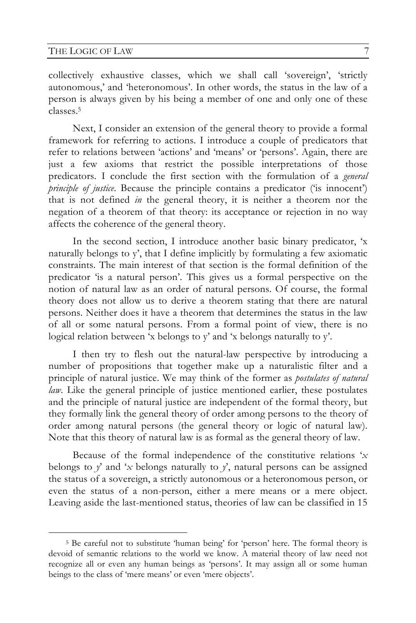collectively exhaustive classes, which we shall call 'sovereign', 'strictly autonomous,' and 'heteronomous'. In other words, the status in the law of a person is always given by his being a member of one and only one of these classes.5

Next, I consider an extension of the general theory to provide a formal framework for referring to actions. I introduce a couple of predicators that refer to relations between 'actions' and 'means' or 'persons'. Again, there are just a few axioms that restrict the possible interpretations of those predicators. I conclude the first section with the formulation of a *general principle of justice*. Because the principle contains a predicator ('is innocent') that is not defined *in* the general theory, it is neither a theorem nor the negation of a theorem of that theory: its acceptance or rejection in no way affects the coherence of the general theory.

In the second section, I introduce another basic binary predicator, 'x naturally belongs to y', that I define implicitly by formulating a few axiomatic constraints. The main interest of that section is the formal definition of the predicator 'is a natural person'. This gives us a formal perspective on the notion of natural law as an order of natural persons. Of course, the formal theory does not allow us to derive a theorem stating that there are natural persons. Neither does it have a theorem that determines the status in the law of all or some natural persons. From a formal point of view, there is no logical relation between 'x belongs to y' and 'x belongs naturally to y'.

I then try to flesh out the natural-law perspective by introducing a number of propositions that together make up a naturalistic filter and a principle of natural justice. We may think of the former as *postulates of natural law*. Like the general principle of justice mentioned earlier, these postulates and the principle of natural justice are independent of the formal theory, but they formally link the general theory of order among persons to the theory of order among natural persons (the general theory or logic of natural law). Note that this theory of natural law is as formal as the general theory of law.

Because of the formal independence of the constitutive relations '*x* belongs to  $y'$  and 'x belongs naturally to  $y'$ , natural persons can be assigned the status of a sovereign, a strictly autonomous or a heteronomous person, or even the status of a non-person, either a mere means or a mere object. Leaving aside the last-mentioned status, theories of law can be classified in 15

 <sup>5</sup> Be careful not to substitute 'human being' for 'person' here. The formal theory is devoid of semantic relations to the world we know. A material theory of law need not recognize all or even any human beings as 'persons'. It may assign all or some human beings to the class of 'mere means' or even 'mere objects'.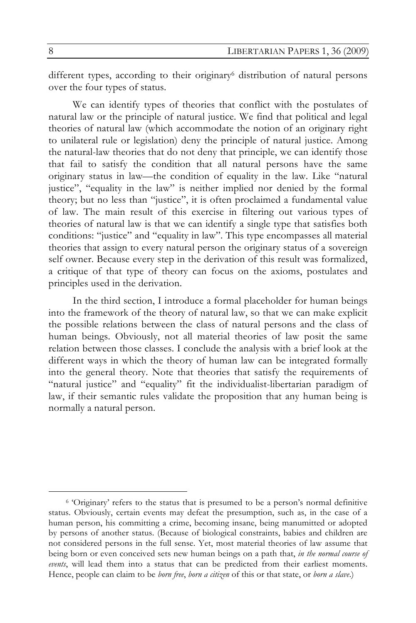different types, according to their originary<sup>6</sup> distribution of natural persons over the four types of status.

We can identify types of theories that conflict with the postulates of natural law or the principle of natural justice. We find that political and legal theories of natural law (which accommodate the notion of an originary right to unilateral rule or legislation) deny the principle of natural justice. Among the natural-law theories that do not deny that principle, we can identify those that fail to satisfy the condition that all natural persons have the same originary status in law—the condition of equality in the law. Like "natural justice", "equality in the law" is neither implied nor denied by the formal theory; but no less than "justice", it is often proclaimed a fundamental value of law. The main result of this exercise in filtering out various types of theories of natural law is that we can identify a single type that satisfies both conditions: "justice" and "equality in law". This type encompasses all material theories that assign to every natural person the originary status of a sovereign self owner. Because every step in the derivation of this result was formalized, a critique of that type of theory can focus on the axioms, postulates and principles used in the derivation.

In the third section, I introduce a formal placeholder for human beings into the framework of the theory of natural law, so that we can make explicit the possible relations between the class of natural persons and the class of human beings. Obviously, not all material theories of law posit the same relation between those classes. I conclude the analysis with a brief look at the different ways in which the theory of human law can be integrated formally into the general theory. Note that theories that satisfy the requirements of "natural justice" and "equality" fit the individualist-libertarian paradigm of law, if their semantic rules validate the proposition that any human being is normally a natural person.

 <sup>6 &#</sup>x27;Originary' refers to the status that is presumed to be a person's normal definitive status. Obviously, certain events may defeat the presumption, such as, in the case of a human person, his committing a crime, becoming insane, being manumitted or adopted by persons of another status. (Because of biological constraints, babies and children are not considered persons in the full sense. Yet, most material theories of law assume that being born or even conceived sets new human beings on a path that, *in the normal course of events*, will lead them into a status that can be predicted from their earliest moments. Hence, people can claim to be *born free*, *born a citizen* of this or that state, or *born a slave*.)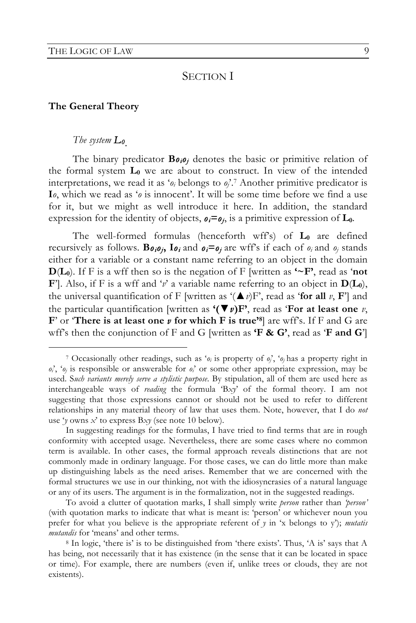## SECTION I

#### **The General Theory**

### *The system L0.*

The binary predicator **B***oioj* denotes the basic or primitive relation of the formal system **L0** we are about to construct. In view of the intended interpretations, we read it as ' $o_i$  belongs to  $o_i'$ .<sup>7</sup> Another primitive predicator is **I***o*, which we read as '*o* is innocent'. It will be some time before we find a use for it, but we might as well introduce it here. In addition, the standard expression for the identity of objects,  $o_i = o_j$ , is a primitive expression of  $L_0$ .

The well-formed formulas (henceforth wff's) of  $L_0$  are defined recursively as follows. **B** $o_i o_j$ ,  $o_i$  and  $o_i = o_j$  are wff's if each of  $o_i$  and  $o_j$  stands either for a variable or a constant name referring to an object in the domain **D**( $L_0$ ). If F is a wff then so is the negation of F [written as  $\sim$ **F'**, read as 'not **F**']. Also, if F is a wff and '*v*' a variable name referring to an object in  $D(L_0)$ , the universal quantification of F [written as  $(\triangle v)F'$ , read as 'for all *v*, F'] and the particular quantification [written as  $'(\nabla v)F'$ , read as 'For at least one *v*, **F**' or **There is at least one** *v* **for which F is true'<sup>8</sup>] are wff's. If F and G are** wff's then the conjunction of F and G [written as **'F & G'**, read as '**F and G**']

 <sup>7</sup> Occasionally other readings, such as '*oi* is property of *oj*', '*oj* has a property right in  $o_i^{\prime}$ ,  $o_j$  is responsible or answerable for  $o_i^{\prime}$  or some other appropriate expression, may be used. S*uch variants merely serve a stylistic purpose*. By stipulation, all of them are used here as interchangeable ways of *reading* the formula 'B*xy*' of the formal theory. I am not suggesting that those expressions cannot or should not be used to refer to different relationships in any material theory of law that uses them. Note, however, that I do *not* use '*y* owns *x*' to express B*xy* (see note 10 below).

In suggesting readings for the formulas, I have tried to find terms that are in rough conformity with accepted usage. Nevertheless, there are some cases where no common term is available. In other cases, the formal approach reveals distinctions that are not commonly made in ordinary language. For those cases, we can do little more than make up distinguishing labels as the need arises. Remember that we are concerned with the formal structures we use in our thinking, not with the idiosyncrasies of a natural language or any of its users. The argument is in the formalization, not in the suggested readings.

To avoid a clutter of quotation marks, I shall simply write *person* rather than *'person'* (with quotation marks to indicate that what is meant is: 'person' or whichever noun you prefer for what you believe is the appropriate referent of *y* in 'x belongs to y'); *mutatis mutandis* for 'means' and other terms.<br><sup>8</sup> In logic, 'there is' is to be distinguished from 'there exists'. Thus, 'A is' says that A

has being, not necessarily that it has existence (in the sense that it can be located in space or time). For example, there are numbers (even if, unlike trees or clouds, they are not existents).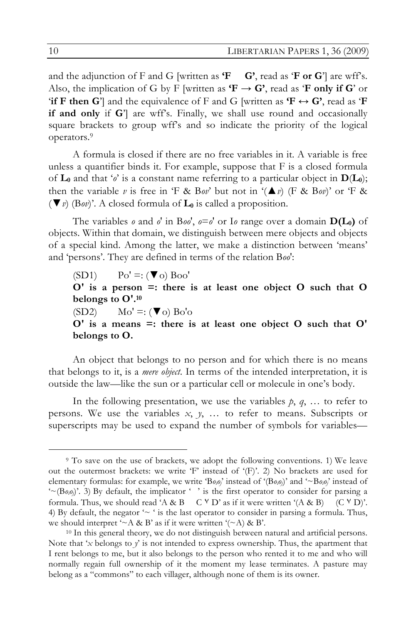and the adjunction of F and G [written as  $\mathbf{F}$  **G'**, read as  $\mathbf{F}$  **or G**'] are wff's. Also, the implication of G by F [written as  $\mathbf{F} \rightarrow \mathbf{G}'$ , read as  $\mathbf{F}$  only if  $\mathbf{G}'$  or **if F** then G<sup>'</sup>] and the equivalence of F and G [written as  $\mathbf{F} \leftrightarrow \mathbf{G}'$ , read as  $\mathbf{F}$ **if and only** if G'] are wff's. Finally, we shall use round and occasionally square brackets to group wff's and so indicate the priority of the logical operators.9

A formula is closed if there are no free variables in it. A variable is free unless a quantifier binds it. For example, suppose that F is a closed formula of  $\mathbf{L}_0$  and that ' $o'$  is a constant name referring to a particular object in  $\mathbf{D}(\mathbf{L}_0)$ ; then the variable *v* is free in 'F & Bov' but not in  $(\triangle x)$  (F & Bov)' or 'F & (▼*v*) (B*ov*)'. A closed formula of **L0** is called a proposition.

The variables *o* and *o'* in B*oo'*,  $o = o'$  or I*o* range over a domain  $D(L_0)$  of objects. Within that domain, we distinguish between mere objects and objects of a special kind. Among the latter, we make a distinction between 'means' and 'persons'. They are defined in terms of the relation B*oo*':

 $(SD1)$   $Po' =: (\nabla \circ) \circ Bo$ **O' is a person =: there is at least one object O such that O belongs to O'.10**  $(SD2)$   $Mo' =: ( $\blacktriangledown o$   $Bo'o$$ **O' is a means =: there is at least one object O such that O' belongs to O.**

An object that belongs to no person and for which there is no means that belongs to it, is a *mere object*. In terms of the intended interpretation, it is outside the law—like the sun or a particular cell or molecule in one's body.

In the following presentation, we use the variables  $p$ ,  $q$ , ... to refer to persons. We use the variables *x*, *y*, … to refer to means. Subscripts or superscripts may be used to expand the number of symbols for variables—

 <sup>9</sup> To save on the use of brackets, we adopt the following conventions. 1) We leave out the outermost brackets: we write 'F' instead of ' $(F)$ '. 2) No brackets are used for elementary formulas: for example, we write 'B*oioj*' instead of '(B*oioj*)' and '~B*oioj*' instead of  $\sim$  (Bo<sub>i</sub>o<sub>i</sub>)'. 3) By default, the implicator '' is the first operator to consider for parsing a formula. Thus, we should read 'A & B  $C V D'$  as if it were written '(A & B)  $(C V D)'$ . 4) By default, the negator  $\sim$  ' is the last operator to consider in parsing a formula. Thus, we should interpret ' $\sim$  A & B' as if it were written '( $\sim$  A) & B'.

<sup>10</sup> In this general theory, we do not distinguish between natural and artificial persons. Note that '*x* belongs to *y*' is not intended to express ownership. Thus, the apartment that I rent belongs to me, but it also belongs to the person who rented it to me and who will normally regain full ownership of it the moment my lease terminates. A pasture may belong as a "commons" to each villager, although none of them is its owner.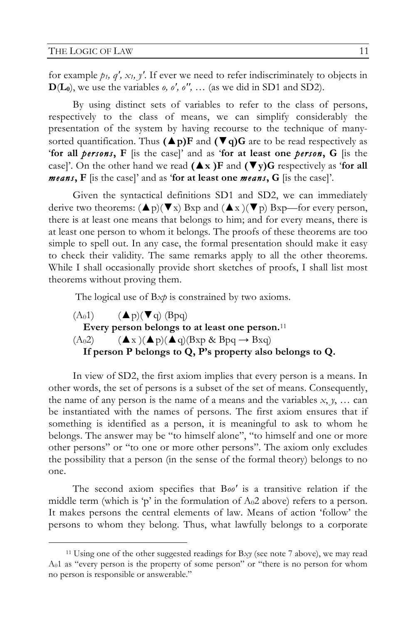for example  $p_1$ ,  $q'_1$ ,  $x_1$ ,  $y'$ . If ever we need to refer indiscriminately to objects in  $\mathbf{D}(\mathbf{L}_0)$ , we use the variables *o, o', o'',* ... (as we did in SD1 and SD2).

By using distinct sets of variables to refer to the class of persons, respectively to the class of means, we can simplify considerably the presentation of the system by having recourse to the technique of manysorted quantification. Thus  $(\triangle p)F$  and  $(\triangle q)G$  are to be read respectively as '**for all** *persons***, F** [is the case]' and as '**for at least one** *person***, G** [is the case]'. On the other hand we read  $(\triangle x)F$  and  $(\triangledown y)G$  respectively as 'for all *means***, F** [is the case]' and as '**for at least one** *means***, G** [is the case]'.

Given the syntactical definitions SD1 and SD2, we can immediately derive two theorems:  $(\triangle p)(\blacktriangledown x)$  Bxp and  $(\triangle x)(\blacktriangledown p)$  Bxp—for every person, there is at least one means that belongs to him; and for every means, there is at least one person to whom it belongs. The proofs of these theorems are too simple to spell out. In any case, the formal presentation should make it easy to check their validity. The same remarks apply to all the other theorems. While I shall occasionally provide short sketches of proofs, I shall list most theorems without proving them.

The logical use of B*xp* is constrained by two axioms.

 $(A_01)$   $(Ap)(\blacktriangledown q)$  (Bpq) **Every person belongs to at least one person.**<sup>11</sup>  $(A_02)$   $($   $\blacktriangle x$   $)($   $\blacktriangle p)$  $($   $\blacktriangle q)$  $(Bxp \& Bpq \rightarrow Bxq)$ **If person P belongs to Q, P's property also belongs to Q.**

In view of SD2, the first axiom implies that every person is a means. In other words, the set of persons is a subset of the set of means. Consequently, the name of any person is the name of a means and the variables  $x, y, \ldots$  can be instantiated with the names of persons. The first axiom ensures that if something is identified as a person, it is meaningful to ask to whom he belongs. The answer may be "to himself alone", "to himself and one or more other persons" or "to one or more other persons". The axiom only excludes the possibility that a person (in the sense of the formal theory) belongs to no one.

The second axiom specifies that B*oo'* is a transitive relation if the middle term (which is 'p' in the formulation of  $A<sub>0</sub>2$  above) refers to a person. It makes persons the central elements of law. Means of action 'follow' the persons to whom they belong. Thus, what lawfully belongs to a corporate

 <sup>11</sup> Using one of the other suggested readings for B*xy* (see note 7 above), we may read A01 as "every person is the property of some person" or "there is no person for whom no person is responsible or answerable."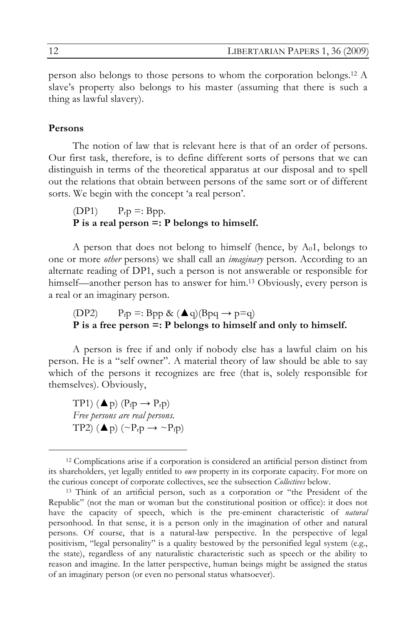person also belongs to those persons to whom the corporation belongs.12 A slave's property also belongs to his master (assuming that there is such a thing as lawful slavery).

#### **Persons**

The notion of law that is relevant here is that of an order of persons. Our first task, therefore, is to define different sorts of persons that we can distinguish in terms of the theoretical apparatus at our disposal and to spell out the relations that obtain between persons of the same sort or of different sorts. We begin with the concept 'a real person'.

### $(DP1)$   $P_r p =: Bpp.$ **P is a real person =: P belongs to himself.**

A person that does not belong to himself (hence, by  $A_01$ , belongs to one or more *other* persons) we shall call an *imaginary* person. According to an alternate reading of DP1, such a person is not answerable or responsible for himself—another person has to answer for him.<sup>13</sup> Obviously, every person is a real or an imaginary person.

## (DP2)  $P_f p =: Bpp \& (Aq)(Bpq \rightarrow p=q)$ **P is a free person =: P belongs to himself and only to himself.**

A person is free if and only if nobody else has a lawful claim on his person. He is a "self owner". A material theory of law should be able to say which of the persons it recognizes are free (that is, solely responsible for themselves). Obviously,

TP1)  $(\triangle p)$   $(P_f p \rightarrow P_f p)$ *Free persons are real persons.* TP2) ( $\blacktriangle$  p) ( $\sim P_{\rm r}$ p  $\rightarrow \sim P_{\rm f}$ p)

 <sup>12</sup> Complications arise if a corporation is considered an artificial person distinct from its shareholders, yet legally entitled to *own* property in its corporate capacity. For more on the curious concept of corporate collectives, see the subsection *Collectives* below. 13 Think of an artificial person, such as a corporation or "the President of the

Republic" (not the man or woman but the constitutional position or office): it does not have the capacity of speech, which is the pre-eminent characteristic of *natural* personhood. In that sense, it is a person only in the imagination of other and natural persons. Of course, that is a natural-law perspective. In the perspective of legal positivism, "legal personality" is a quality bestowed by the personified legal system (e.g., the state), regardless of any naturalistic characteristic such as speech or the ability to reason and imagine. In the latter perspective, human beings might be assigned the status of an imaginary person (or even no personal status whatsoever).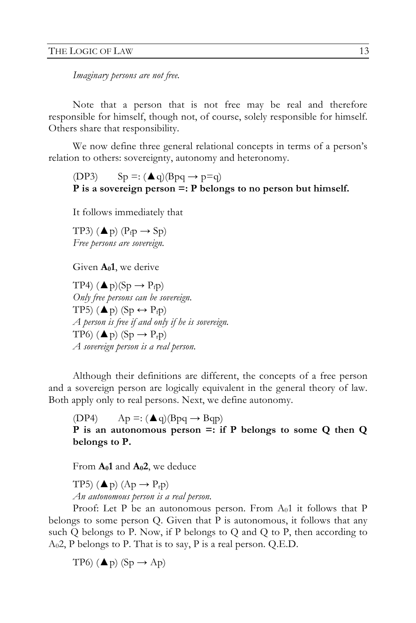*Imaginary persons are not free.* 

Note that a person that is not free may be real and therefore responsible for himself, though not, of course, solely responsible for himself. Others share that responsibility.

We now define three general relational concepts in terms of a person's relation to others: sovereignty, autonomy and heteronomy.

(DP3)  $Sp =: (\triangle q)(Bpq \rightarrow p=q)$ **P is a sovereign person =: P belongs to no person but himself.** 

It follows immediately that

TP3)  $(\triangle p)$   $(P_f p \rightarrow Sp)$ *Free persons are sovereign.*

Given  $A_01$ , we derive

TP4)  $(\triangle p)(Sp \rightarrow P_f p)$ *Only free persons can be sovereign.*  TP5)  $(\triangle p)$  (Sp  $\leftrightarrow$  P<sub>f</sub>p) *A person is free if and only if he is sovereign.*  TP6)  $(\triangle p)$  (Sp  $\rightarrow$  P<sub>r</sub>p) *A sovereign person is a real person.*

Although their definitions are different, the concepts of a free person and a sovereign person are logically equivalent in the general theory of law. Both apply only to real persons. Next, we define autonomy.

(DP4)  $Ap =: (\triangle q)(Bpq \rightarrow Bqp)$ **P is an autonomous person =: if P belongs to some Q then Q belongs to P.**

From **A01** and **A02**, we deduce

TP5)  $(\triangle p)$   $(Ap \rightarrow P_{r}p)$ *An autonomous person is a real person.*

Proof: Let P be an autonomous person. From  $A_01$  it follows that P belongs to some person Q. Given that P is autonomous, it follows that any such Q belongs to P. Now, if P belongs to Q and Q to P, then according to  $A<sub>0</sub>2$ , P belongs to P. That is to say, P is a real person. Q.E.D.

TP6)  $(\triangle p)$  (Sp  $\rightarrow$  Ap)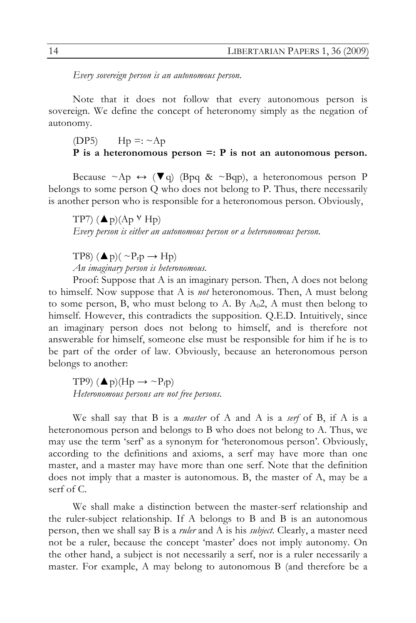*Every sovereign person is an autonomous person.* 

Note that it does not follow that every autonomous person is sovereign. We define the concept of heteronomy simply as the negation of autonomy.

(DP5)  $\text{Hp} =: \sim \text{Ap}$ 

### **P is a heteronomous person =: P is not an autonomous person.**

Because  $\sim A_p \leftrightarrow (\blacktriangledown q)$  (Bpq &  $\sim Bqp$ ), a heteronomous person P belongs to some person Q who does not belong to P. Thus, there necessarily is another person who is responsible for a heteronomous person. Obviously,

TP7)  $(\triangle p)(Ap \vee Hp)$ *Every person is either an autonomous person or a heteronomous person.*

TP8)  $(\triangle p)(\sim P_r p \rightarrow Hp)$ *An imaginary person is heteronomous.* 

Proof: Suppose that A is an imaginary person. Then, A does not belong to himself. Now suppose that A is *not* heteronomous. Then, A must belong to some person, B, who must belong to A. By  $A<sub>0</sub>2$ , A must then belong to himself. However, this contradicts the supposition. Q.E.D. Intuitively, since an imaginary person does not belong to himself, and is therefore not answerable for himself, someone else must be responsible for him if he is to be part of the order of law. Obviously, because an heteronomous person belongs to another:

TP9)  $(\triangle p)(Hp \rightarrow \sim P_f p)$ *Heteronomous persons are not free persons.*

We shall say that B is a *master* of A and A is a *serf* of B, if A is a heteronomous person and belongs to B who does not belong to A. Thus, we may use the term 'serf' as a synonym for 'heteronomous person'. Obviously, according to the definitions and axioms, a serf may have more than one master, and a master may have more than one serf. Note that the definition does not imply that a master is autonomous. B, the master of A, may be a serf of C.

We shall make a distinction between the master-serf relationship and the ruler-subject relationship. If A belongs to B and B is an autonomous person, then we shall say B is a *ruler* and A is his *subject*. Clearly, a master need not be a ruler, because the concept 'master' does not imply autonomy. On the other hand, a subject is not necessarily a serf, nor is a ruler necessarily a master. For example, A may belong to autonomous B (and therefore be a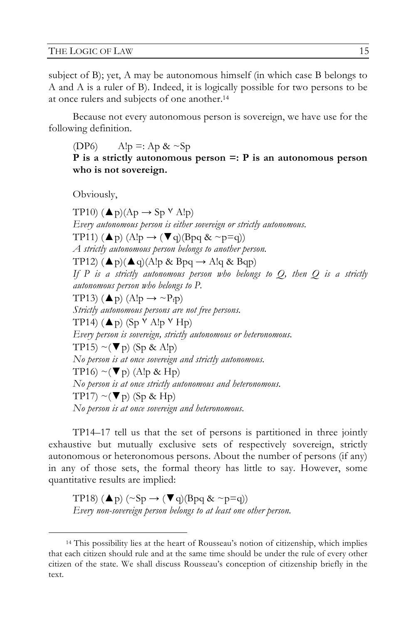subject of B); yet, A may be autonomous himself (in which case B belongs to A and A is a ruler of B). Indeed, it is logically possible for two persons to be at once rulers and subjects of one another.14

Because not every autonomous person is sovereign, we have use for the following definition.

(DP6)  $\text{Alp} =: Ap < Sp$ **P is a strictly autonomous person =: P is an autonomous person who is not sovereign.**

Obviously,

TP10)  $(\triangle p)(Ap \rightarrow Sp \vee A!p)$ *Every autonomous person is either sovereign or strictly autonomous.* TP11)  $(\triangle p)$   $(\triangle !p \rightarrow (\blacktriangledown q)(Bpq \& \sim p=q))$ *A strictly autonomous person belongs to another person.*  TP12)  $(\triangle p)(\triangle q)$ (A!p & Bpq  $\rightarrow$  A!q & Bqp) *If* P is a strictly autonomous person who belongs to  $Q$ , then  $Q$  is a strictly *autonomous person who belongs to P.* TP13) ( $\blacktriangle$ p) (A!p  $\rightarrow \sim P_f$ p) *Strictly autonomous persons are not free persons.* TP14)  $(\triangle p)$  (Sp  $\forall$  Alp  $\forall$  Hp) *Every person is sovereign, strictly autonomous or heteronomous.* TP15) ~ $(\nabla p)$  (Sp & A!p) *No person is at once sovereign and strictly autonomous.* TP16)  $\sim$ ( $\nabla$  p) (A!p & Hp) *No person is at once strictly autonomous and heteronomous.* TP17)  $\sim$ ( $\nabla$  p) (Sp & Hp) *No person is at once sovereign and heteronomous.*

TP14–17 tell us that the set of persons is partitioned in three jointly exhaustive but mutually exclusive sets of respectively sovereign, strictly autonomous or heteronomous persons. About the number of persons (if any) in any of those sets, the formal theory has little to say. However, some quantitative results are implied:

TP18)  $(\triangle p)$  (~Sp  $\rightarrow$  ( $\nabla q$ )(Bpq & ~p=q)) *Every non-sovereign person belongs to at least one other person.*

 <sup>14</sup> This possibility lies at the heart of Rousseau's notion of citizenship, which implies that each citizen should rule and at the same time should be under the rule of every other citizen of the state. We shall discuss Rousseau's conception of citizenship briefly in the text.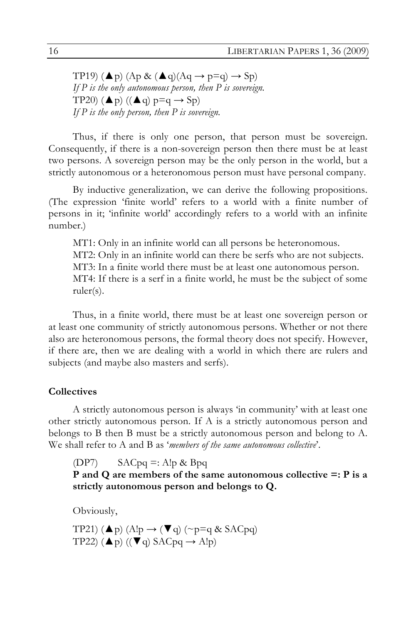TP19) ( $\blacktriangle$ p) (Ap & ( $\blacktriangle$ q)(Aq  $\rightarrow$  p=q)  $\rightarrow$  Sp) *If P is the only autonomous person, then P is sovereign.* TP20)  $(**A** p) ((**A** q) p=q \rightarrow Sp)$ *If P is the only person, then P is sovereign.*

Thus, if there is only one person, that person must be sovereign. Consequently, if there is a non-sovereign person then there must be at least two persons. A sovereign person may be the only person in the world, but a strictly autonomous or a heteronomous person must have personal company.

By inductive generalization, we can derive the following propositions. (The expression 'finite world' refers to a world with a finite number of persons in it; 'infinite world' accordingly refers to a world with an infinite number.)

MT1: Only in an infinite world can all persons be heteronomous. MT2: Only in an infinite world can there be serfs who are not subjects. MT3: In a finite world there must be at least one autonomous person. MT4: If there is a serf in a finite world, he must be the subject of some ruler(s).

Thus, in a finite world, there must be at least one sovereign person or at least one community of strictly autonomous persons. Whether or not there also are heteronomous persons, the formal theory does not specify. However, if there are, then we are dealing with a world in which there are rulers and subjects (and maybe also masters and serfs).

### **Collectives**

A strictly autonomous person is always 'in community' with at least one other strictly autonomous person. If A is a strictly autonomous person and belongs to B then B must be a strictly autonomous person and belong to A. We shall refer to A and B as '*members of the same autonomous collective*'.

(DP7)  $SACpq =: A!p \& Bpq$ 

**P and Q are members of the same autonomous collective =: P is a strictly autonomous person and belongs to Q.**

Obviously,

TP21) ( $\blacktriangle$ p) (A!p  $\rightarrow$  ( $\nabla$  q) (~p=q & SACpq) TP22)  $(\triangle p)$  ( $(\blacktriangledown q)$  SACpq  $\rightarrow$  Alp)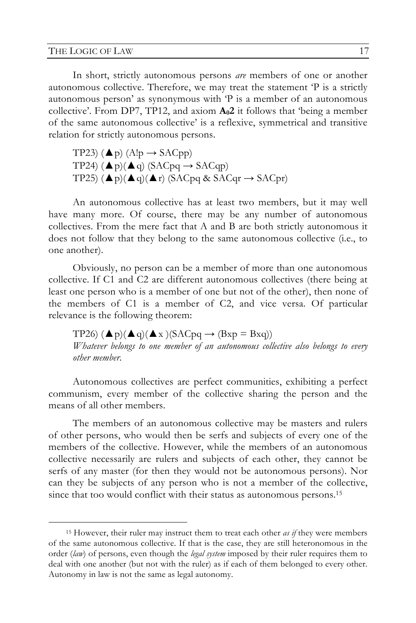#### THE LOGIC OF LAW 17

In short, strictly autonomous persons *are* members of one or another autonomous collective. Therefore, we may treat the statement 'P is a strictly autonomous person' as synonymous with 'P is a member of an autonomous collective'. From DP7, TP12, and axiom  $A_02$  it follows that 'being a member of the same autonomous collective' is a reflexive, symmetrical and transitive relation for strictly autonomous persons.

TP23) ( $\blacktriangle$ p) (A!p  $\rightarrow$  SACpp) TP24)  $(\triangle p)(\triangle q)$  (SACpq  $\rightarrow$  SACqp) TP25)  $(\triangle p)(\triangle q)(\triangle r)$  (SACpq & SACqr  $\rightarrow$  SACpr)

An autonomous collective has at least two members, but it may well have many more. Of course, there may be any number of autonomous collectives. From the mere fact that A and B are both strictly autonomous it does not follow that they belong to the same autonomous collective (i.e., to one another).

Obviously, no person can be a member of more than one autonomous collective. If C1 and C2 are different autonomous collectives (there being at least one person who is a member of one but not of the other), then none of the members of C1 is a member of C2, and vice versa. Of particular relevance is the following theorem:

TP26)  $(\triangle p)(\triangle q)(\triangle x)$ (SACpq  $\rightarrow$  (Bxp = Bxq)) *Whatever belongs to one member of an autonomous collective also belongs to every other member.*

Autonomous collectives are perfect communities, exhibiting a perfect communism, every member of the collective sharing the person and the means of all other members.

The members of an autonomous collective may be masters and rulers of other persons, who would then be serfs and subjects of every one of the members of the collective. However, while the members of an autonomous collective necessarily are rulers and subjects of each other, they cannot be serfs of any master (for then they would not be autonomous persons). Nor can they be subjects of any person who is not a member of the collective, since that too would conflict with their status as autonomous persons.<sup>15</sup>

 <sup>15</sup> However, their ruler may instruct them to treat each other *as if* they were members of the same autonomous collective. If that is the case, they are still heteronomous in the order (*law*) of persons, even though the *legal system* imposed by their ruler requires them to deal with one another (but not with the ruler) as if each of them belonged to every other. Autonomy in law is not the same as legal autonomy.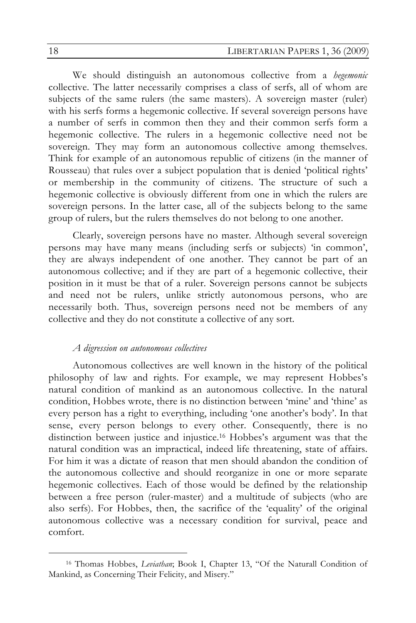We should distinguish an autonomous collective from a *hegemonic* collective. The latter necessarily comprises a class of serfs, all of whom are subjects of the same rulers (the same masters). A sovereign master (ruler) with his serfs forms a hegemonic collective. If several sovereign persons have a number of serfs in common then they and their common serfs form a hegemonic collective. The rulers in a hegemonic collective need not be sovereign. They may form an autonomous collective among themselves. Think for example of an autonomous republic of citizens (in the manner of Rousseau) that rules over a subject population that is denied 'political rights' or membership in the community of citizens. The structure of such a hegemonic collective is obviously different from one in which the rulers are sovereign persons. In the latter case, all of the subjects belong to the same group of rulers, but the rulers themselves do not belong to one another.

Clearly, sovereign persons have no master. Although several sovereign persons may have many means (including serfs or subjects) 'in common', they are always independent of one another. They cannot be part of an autonomous collective; and if they are part of a hegemonic collective, their position in it must be that of a ruler. Sovereign persons cannot be subjects and need not be rulers, unlike strictly autonomous persons, who are necessarily both. Thus, sovereign persons need not be members of any collective and they do not constitute a collective of any sort.

#### *A digression on autonomous collectives*

Autonomous collectives are well known in the history of the political philosophy of law and rights. For example, we may represent Hobbes's natural condition of mankind as an autonomous collective. In the natural condition, Hobbes wrote, there is no distinction between 'mine' and 'thine' as every person has a right to everything, including 'one another's body'. In that sense, every person belongs to every other. Consequently, there is no distinction between justice and injustice.16 Hobbes's argument was that the natural condition was an impractical, indeed life threatening, state of affairs. For him it was a dictate of reason that men should abandon the condition of the autonomous collective and should reorganize in one or more separate hegemonic collectives. Each of those would be defined by the relationship between a free person (ruler-master) and a multitude of subjects (who are also serfs). For Hobbes, then, the sacrifice of the 'equality' of the original autonomous collective was a necessary condition for survival, peace and comfort.

 <sup>16</sup> Thomas Hobbes, *Leviathan*; Book I, Chapter 13, "Of the Naturall Condition of Mankind, as Concerning Their Felicity, and Misery."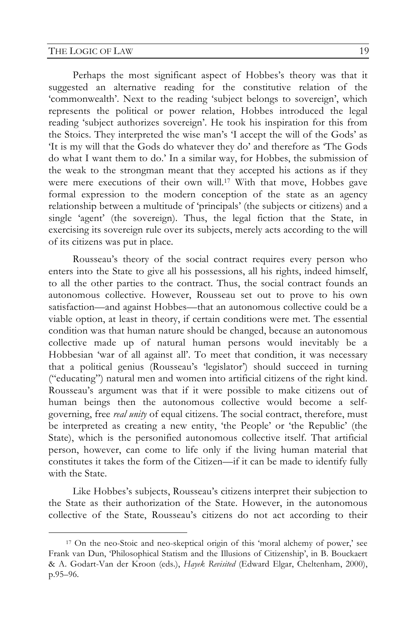Perhaps the most significant aspect of Hobbes's theory was that it suggested an alternative reading for the constitutive relation of the 'commonwealth'. Next to the reading 'subject belongs to sovereign', which represents the political or power relation, Hobbes introduced the legal reading 'subject authorizes sovereign'. He took his inspiration for this from the Stoics. They interpreted the wise man's 'I accept the will of the Gods' as 'It is my will that the Gods do whatever they do' and therefore as 'The Gods do what I want them to do.' In a similar way, for Hobbes, the submission of the weak to the strongman meant that they accepted his actions as if they were mere executions of their own will.<sup>17</sup> With that move, Hobbes gave formal expression to the modern conception of the state as an agency relationship between a multitude of 'principals' (the subjects or citizens) and a single 'agent' (the sovereign). Thus, the legal fiction that the State, in exercising its sovereign rule over its subjects, merely acts according to the will of its citizens was put in place.

Rousseau's theory of the social contract requires every person who enters into the State to give all his possessions, all his rights, indeed himself, to all the other parties to the contract. Thus, the social contract founds an autonomous collective. However, Rousseau set out to prove to his own satisfaction—and against Hobbes—that an autonomous collective could be a viable option, at least in theory, if certain conditions were met. The essential condition was that human nature should be changed, because an autonomous collective made up of natural human persons would inevitably be a Hobbesian 'war of all against all'. To meet that condition, it was necessary that a political genius (Rousseau's 'legislator') should succeed in turning ("educating") natural men and women into artificial citizens of the right kind. Rousseau's argument was that if it were possible to make citizens out of human beings then the autonomous collective would become a selfgoverning, free *real unity* of equal citizens. The social contract, therefore, must be interpreted as creating a new entity, 'the People' or 'the Republic' (the State), which is the personified autonomous collective itself. That artificial person, however, can come to life only if the living human material that constitutes it takes the form of the Citizen—if it can be made to identify fully with the State.

Like Hobbes's subjects, Rousseau's citizens interpret their subjection to the State as their authorization of the State. However, in the autonomous collective of the State, Rousseau's citizens do not act according to their

 <sup>17</sup> On the neo-Stoic and neo-skeptical origin of this 'moral alchemy of power,' see Frank van Dun, 'Philosophical Statism and the Illusions of Citizenship', in B. Bouckaert & A. Godart-Van der Kroon (eds.), *Hayek Revisited* (Edward Elgar, Cheltenham, 2000), p.95–96.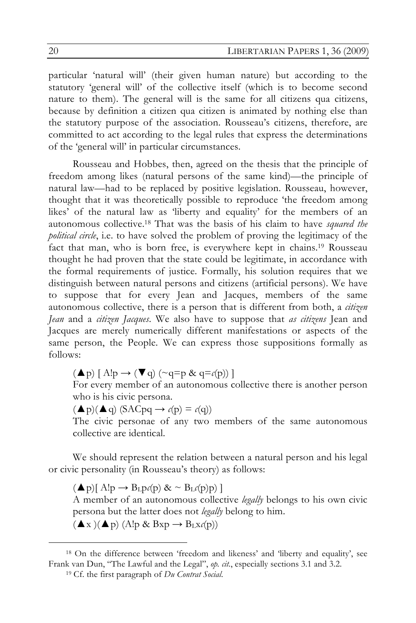particular 'natural will' (their given human nature) but according to the statutory 'general will' of the collective itself (which is to become second nature to them). The general will is the same for all citizens qua citizens, because by definition a citizen qua citizen is animated by nothing else than the statutory purpose of the association. Rousseau's citizens, therefore, are committed to act according to the legal rules that express the determinations of the 'general will' in particular circumstances.

Rousseau and Hobbes, then, agreed on the thesis that the principle of freedom among likes (natural persons of the same kind)—the principle of natural law—had to be replaced by positive legislation. Rousseau, however, thought that it was theoretically possible to reproduce 'the freedom among likes' of the natural law as 'liberty and equality' for the members of an autonomous collective.18 That was the basis of his claim to have *squared the political circle*, i.e. to have solved the problem of proving the legitimacy of the fact that man, who is born free, is everywhere kept in chains.19 Rousseau thought he had proven that the state could be legitimate, in accordance with the formal requirements of justice. Formally, his solution requires that we distinguish between natural persons and citizens (artificial persons). We have to suppose that for every Jean and Jacques, members of the same autonomous collective, there is a person that is different from both, a *citizen Jean* and a *citizen Jacques*. We also have to suppose that *as citizens* Jean and Jacques are merely numerically different manifestations or aspects of the same person, the People. We can express those suppositions formally as follows:

 $(\triangle p)$   $[A!p \rightarrow (\blacktriangledown q)$  (~q=p & q= $c(p)$ ) ]

For every member of an autonomous collective there is another person who is his civic persona.

 $(\triangle p)(\triangle q)$  (SACpq  $\rightarrow$   $c(p) = c(q)$ )

The civic personae of any two members of the same autonomous collective are identical.

We should represent the relation between a natural person and his legal or civic personality (in Rousseau's theory) as follows:

 $(\blacktriangle p)[$  A!p  $\rightarrow$  B<sub>L</sub>p*c*(p) &  $\sim$  B<sub>L</sub>*c*(p)p) ]

A member of an autonomous collective *legally* belongs to his own civic persona but the latter does not *legally* belong to him.

 $(\blacktriangle x)(\blacktriangle p)$  (A!p & Bxp  $\rightarrow$  B<sub>L</sub>x $c(p)$ )

 <sup>18</sup> On the difference between 'freedom and likeness' and 'liberty and equality', see Frank van Dun, "The Lawful and the Legal", *op. cit.*, especially sections 3.1 and 3.2.

<sup>19</sup> Cf. the first paragraph of *Du Contrat Social*.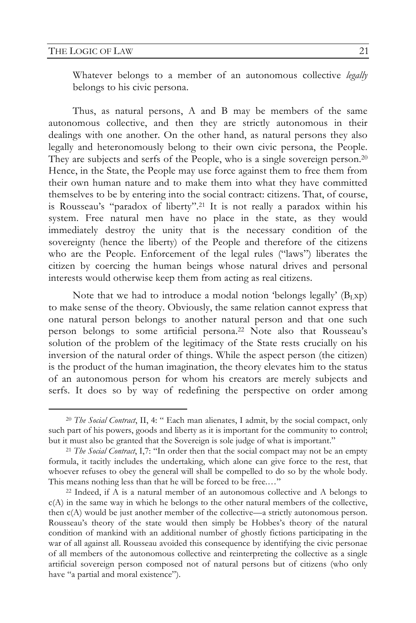Whatever belongs to a member of an autonomous collective *legally* belongs to his civic persona.

Thus, as natural persons, A and B may be members of the same autonomous collective, and then they are strictly autonomous in their dealings with one another. On the other hand, as natural persons they also legally and heteronomously belong to their own civic persona, the People. They are subjects and serfs of the People, who is a single sovereign person.20 Hence, in the State, the People may use force against them to free them from their own human nature and to make them into what they have committed themselves to be by entering into the social contract: citizens. That, of course, is Rousseau's "paradox of liberty".21 It is not really a paradox within his system. Free natural men have no place in the state, as they would immediately destroy the unity that is the necessary condition of the sovereignty (hence the liberty) of the People and therefore of the citizens who are the People. Enforcement of the legal rules ("laws") liberates the citizen by coercing the human beings whose natural drives and personal interests would otherwise keep them from acting as real citizens.

Note that we had to introduce a modal notion 'belongs legally'  $(B_Lxp)$ to make sense of the theory. Obviously, the same relation cannot express that one natural person belongs to another natural person and that one such person belongs to some artificial persona.22 Note also that Rousseau's solution of the problem of the legitimacy of the State rests crucially on his inversion of the natural order of things. While the aspect person (the citizen) is the product of the human imagination, the theory elevates him to the status of an autonomous person for whom his creators are merely subjects and serfs. It does so by way of redefining the perspective on order among

 <sup>20</sup> *The Social Contract*, II, 4: " Each man alienates, I admit, by the social compact, only such part of his powers, goods and liberty as it is important for the community to control; but it must also be granted that the Sovereign is sole judge of what is important."

<sup>21</sup> *The Social Contract*, I,7: "In order then that the social compact may not be an empty formula, it tacitly includes the undertaking, which alone can give force to the rest, that whoever refuses to obey the general will shall be compelled to do so by the whole body. This means nothing less than that he will be forced to be free.…"

<sup>22</sup> Indeed, if A is a natural member of an autonomous collective and A belongs to c(A) in the same way in which he belongs to the other natural members of the collective, then c(A) would be just another member of the collective—a strictly autonomous person. Rousseau's theory of the state would then simply be Hobbes's theory of the natural condition of mankind with an additional number of ghostly fictions participating in the war of all against all. Rousseau avoided this consequence by identifying the civic personae of all members of the autonomous collective and reinterpreting the collective as a single artificial sovereign person composed not of natural persons but of citizens (who only have "a partial and moral existence").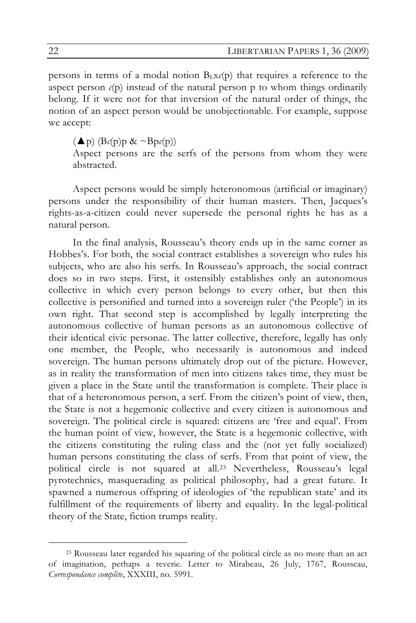persons in terms of a modal notion  $B<sub>L</sub>x(p)$  that requires a reference to the aspect person  $c(p)$  instead of the natural person  $p$  to whom things ordinarily belong. If it were not for that inversion of the natural order of things, the notion of an aspect person would be unobjectionable. For example, suppose we accept:

 $(\triangle p)$   $(Bc(p)p \& \sim Bp(c(p))$ 

Aspect persons are the serfs of the persons from whom they were abstracted.

Aspect persons would be simply heteronomous (artificial or imaginary) persons under the responsibility of their human masters. Then, Jacques's rights-as-a-citizen could never supersede the personal rights he has as a natural person.

In the final analysis, Rousseau's theory ends up in the same corner as Hobbes's. For both, the social contract establishes a sovereign who rules his subjects, who are also his serfs. In Rousseau's approach, the social contract does so in two steps. First, it ostensibly establishes only an autonomous collective in which every person belongs to every other, but then this collective is personified and turned into a sovereign ruler ('the People') in its own right. That second step is accomplished by legally interpreting the autonomous collective of human persons as an autonomous collective of their identical civic personae. The latter collective, therefore, legally has only one member, the People, who necessarily is autonomous and indeed sovereign. The human persons ultimately drop out of the picture. However, as in reality the transformation of men into citizens takes time, they must be given a place in the State until the transformation is complete. Their place is that of a heteronomous person, a serf. From the citizen's point of view, then, the State is not a hegemonic collective and every citizen is autonomous and sovereign. The political circle is squared: citizens are 'free and equal'. From the human point of view, however, the State is a hegemonic collective, with the citizens constituting the ruling class and the (not yet fully socialized) human persons constituting the class of serfs. From that point of view, the political circle is not squared at all.23 Nevertheless, Rousseau's legal pyrotechnics, masquerading as political philosophy, had a great future. It spawned a numerous offspring of ideologies of 'the republican state' and its fulfillment of the requirements of liberty and equality. In the legal-political theory of the State, fiction trumps reality.

 <sup>23</sup> Rousseau later regarded his squaring of the political circle as no more than an act of imagination, perhaps a reverie. Letter to Mirabeau, 26 July, 1767, Rousseau, *Correspondance complète*, XXXIII, no. 5991.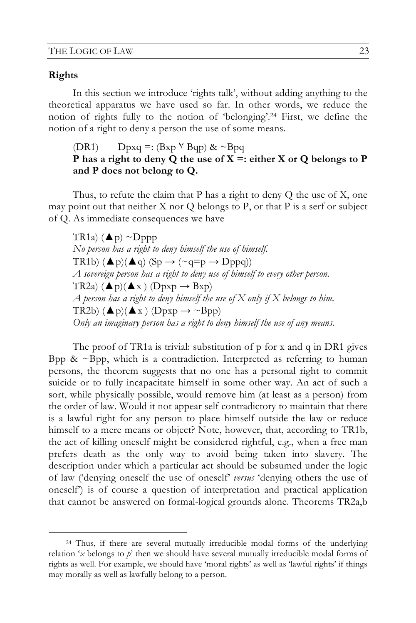### **Rights**

In this section we introduce 'rights talk', without adding anything to the theoretical apparatus we have used so far. In other words, we reduce the notion of rights fully to the notion of 'belonging'.24 First, we define the notion of a right to deny a person the use of some means.

## (DR1) Dpxq =:  $(Bxp \vee Bqp)$  & ~ $Bpq$ **P has a right to deny Q the use of X =: either X or Q belongs to P and P does not belong to Q.**

Thus, to refute the claim that P has a right to deny  $Q$  the use of  $X$ , one may point out that neither  $X$  nor  $Q$  belongs to  $P$ , or that  $P$  is a serf or subject of Q. As immediate consequences we have

TR1a)  $(\triangle p) \sim \text{Dppp}$ *No person has a right to deny himself the use of himself.* TR1b)  $(\triangle p)(\triangle q)$  (Sp  $\rightarrow$  (~q=p  $\rightarrow$  Dppq)) *A sovereign person has a right to deny use of himself to every other person.* TR2a)  $(\triangle p)(\triangle x)$  (Dpxp  $\rightarrow$  Bxp)  $A$  person has a right to deny himself the use of  $X$  only if  $X$  belongs to him. TR2b)  $(\triangle p)(\triangle x)$  (Dpxp  $\rightarrow \sim$ Bpp) *Only an imaginary person has a right to deny himself the use of any means.*

The proof of TR1a is trivial: substitution of p for x and q in DR1 gives Bpp &  $\sim$ Bpp, which is a contradiction. Interpreted as referring to human persons, the theorem suggests that no one has a personal right to commit suicide or to fully incapacitate himself in some other way. An act of such a sort, while physically possible, would remove him (at least as a person) from the order of law. Would it not appear self contradictory to maintain that there is a lawful right for any person to place himself outside the law or reduce himself to a mere means or object? Note, however, that, according to TR1b, the act of killing oneself might be considered rightful, e.g., when a free man prefers death as the only way to avoid being taken into slavery. The description under which a particular act should be subsumed under the logic of law ('denying oneself the use of oneself' *versus* 'denying others the use of oneself') is of course a question of interpretation and practical application that cannot be answered on formal-logical grounds alone. Theorems TR2a,b

 <sup>24</sup> Thus, if there are several mutually irreducible modal forms of the underlying relation '*x* belongs to *p*' then we should have several mutually irreducible modal forms of rights as well. For example, we should have 'moral rights' as well as 'lawful rights' if things may morally as well as lawfully belong to a person.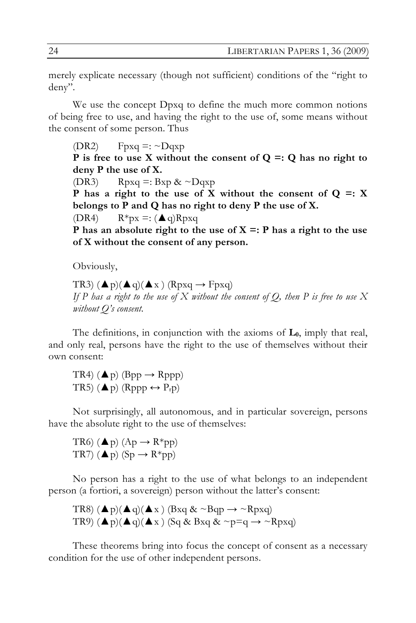merely explicate necessary (though not sufficient) conditions of the "right to deny".

We use the concept Dpxq to define the much more common notions of being free to use, and having the right to the use of, some means without the consent of some person. Thus

 $(DR2)$  Fpxq =: ~Dqxp **P is free to use X without the consent of Q =: Q has no right to deny P the use of X.**

(DR3) Rpxq =:  $Bxp \& \sim Dqxp$ 

**P has a right to the use of X without the consent of Q =: X belongs to P and Q has no right to deny P the use of X.** (DR4)  $R^*px =: (\triangle q)Rpxq$ 

**P has an absolute right to the use of X =: P has a right to the use of X without the consent of any person.**

Obviously,

TR3)  $(\triangle p)(\triangle q)(\triangle x)$  (Rpxq  $\rightarrow$  Fpxq) *If P has a right to the use of X without the consent of Q, then P is free to use X without Q's consent.*

The definitions, in conjunction with the axioms of  $L_0$ , imply that real, and only real, persons have the right to the use of themselves without their own consent:

TR4)  $(\triangle p)$  (Bpp  $\rightarrow$  Rppp) TR5) ( $\blacktriangle$ p) (Rppp  $\leftrightarrow$  P<sub>r</sub>p)

Not surprisingly, all autonomous, and in particular sovereign, persons have the absolute right to the use of themselves:

TR6)  $(\triangle p)$   $(Ap \rightarrow R^*pp)$ TR7)  $(\triangle p)$  (Sp  $\rightarrow$  R\*pp)

No person has a right to the use of what belongs to an independent person (a fortiori, a sovereign) person without the latter's consent:

TR8)  $(\triangle p)(\triangle q)(\triangle x)$  (Bxq & ~Bqp  $\rightarrow \sim$ Rpxq) TR9)  $(\triangle p)(\triangle q)(\triangle x)$  (Sq & Bxq & ~p=q  $\rightarrow \sim$ Rpxq)

These theorems bring into focus the concept of consent as a necessary condition for the use of other independent persons.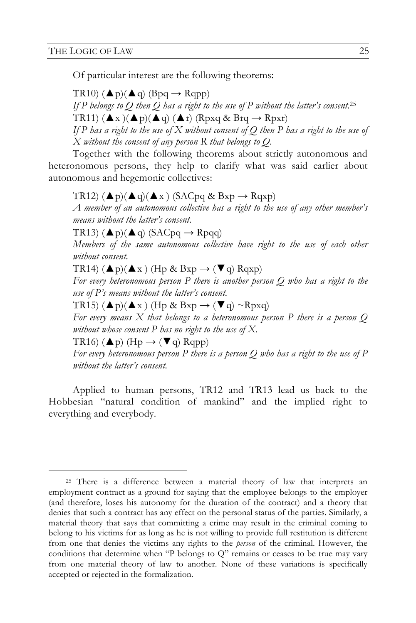Of particular interest are the following theorems:

TR10)  $(\triangle p)(\triangle q)$  (Bpq  $\rightarrow$  Rqpp) *If P belongs to Q then Q has a right to the use of P without the latter's consent.*<sup>25</sup> TR11)  $(\triangle x)(\triangle p)(\triangle q) (\triangle r)$  (Rpxq & Brq  $\rightarrow$  Rpxr) If P has a right to the use of X without consent of Q then P has a right to the use of *X without the consent of any person R that belongs to Q.* 

Together with the following theorems about strictly autonomous and heteronomous persons, they help to clarify what was said earlier about autonomous and hegemonic collectives:

TR12)  $(\triangle p)(\triangle q)(\triangle x)$  (SACpq & Bxp  $\rightarrow$  Rqxp) *A member of an autonomous collective has a right to the use of any other member's means without the latter's consent.* TR13)  $(\triangle p)(\triangle q)$  (SACpq  $\rightarrow$  Rpqq) *Members of the same autonomous collective have right to the use of each other without consent.*  TR14)  $(\triangle p)(\triangle x)$  (Hp & Bxp  $\rightarrow$  ( $\nabla q$ ) Rqxp) *For every heteronomous person P there is another person Q who has a right to the use of P's means without the latter's consent.* TR15)  $(\triangle p)(\triangle x)$  (Hp & Bxp  $\rightarrow$  ( $\nabla q$ ) ~Rpxq) *For every means X that belongs to a heteronomous person P there is a person Q without whose consent P has no right to the use of X.* TR16)  $(\triangle p)$  (Hp  $\rightarrow$  ( $\nabla q$ ) Rqpp) *For every heteronomous person P there is a person Q who has a right to the use of P* 

*without the latter's consent.* 

Applied to human persons, TR12 and TR13 lead us back to the Hobbesian "natural condition of mankind" and the implied right to everything and everybody.

<sup>&</sup>lt;sup>25</sup> There is a difference between a material theory of law that interprets an employment contract as a ground for saying that the employee belongs to the employer (and therefore, loses his autonomy for the duration of the contract) and a theory that denies that such a contract has any effect on the personal status of the parties. Similarly, a material theory that says that committing a crime may result in the criminal coming to belong to his victims for as long as he is not willing to provide full restitution is different from one that denies the victims any rights to the *person* of the criminal. However, the conditions that determine when "P belongs to Q" remains or ceases to be true may vary from one material theory of law to another. None of these variations is specifically accepted or rejected in the formalization.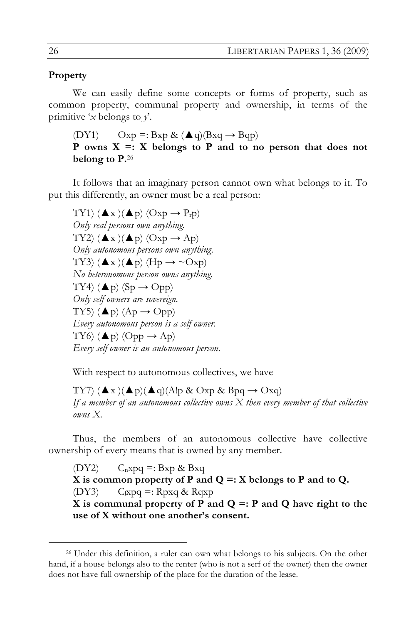### **Property**

We can easily define some concepts or forms of property, such as common property, communal property and ownership, in terms of the primitive '*x* belongs to *y*'.

(DY1)  $Oxp =: Bxp \& (Aq)(Bxq \rightarrow Bqp)$ **P** owns  $X =: X$  belongs to **P** and to no person that does not **belong to P.**<sup>26</sup>

It follows that an imaginary person cannot own what belongs to it. To put this differently, an owner must be a real person:

TY1)  $(\blacktriangle x)(\blacktriangle p)$   $(Oxp \rightarrow P_r p)$ *Only real persons own anything.*  TY2)  $(\blacktriangle x)(\blacktriangle p)$   $(Oxp \rightarrow Ap)$ *Only autonomous persons own anything.* TY3)  $(\triangle x)(\triangle p)$  (Hp  $\rightarrow \sim$ Oxp) *No heteronomous person owns anything.*  TY4)  $(\triangle p)$  (Sp  $\rightarrow$  Opp) *Only self owners are sovereign.* TY5)  $(\triangle p)$   $(Ap \rightarrow Opp)$ *Every autonomous person is a self owner.* TY6)  $(\triangle p)$  (Opp  $\rightarrow$  Ap) *Every self owner is an autonomous person.*

With respect to autonomous collectives, we have

TY7)  $(\blacktriangle x)(\blacktriangle p)(\blacktriangle q)$ (A!p & Oxp & Bpq  $\rightarrow$  Oxq) *If a member of an autonomous collective owns X then every member of that collective owns X.* 

Thus, the members of an autonomous collective have collective ownership of every means that is owned by any member.

(DY2)  $C_n x p q =: B x p \& B x q$ **X is common property of P and Q =: X belongs to P and to Q.** (DY3)  $C_1xpq =: Rpxq \& Rqxp$ **X** is communal property of **P** and  $Q =$ : **P** and **Q** have right to the **use of X without one another's consent.**

 <sup>26</sup> Under this definition, a ruler can own what belongs to his subjects. On the other hand, if a house belongs also to the renter (who is not a serf of the owner) then the owner does not have full ownership of the place for the duration of the lease.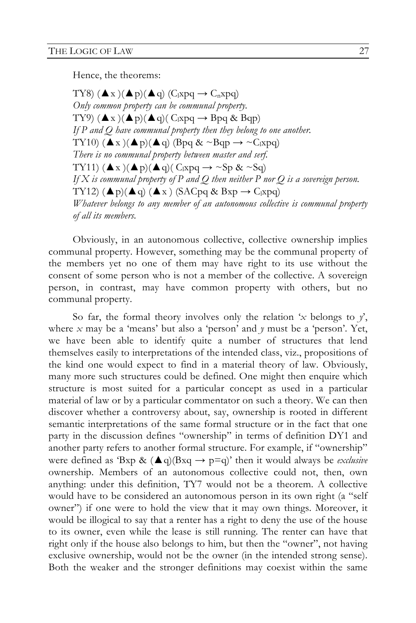Hence, the theorems:

TY8)  $(\blacktriangle x)(\blacktriangle p)(\blacktriangle q)$  (C<sub>I</sub>xpq  $\rightarrow$  C<sub>n</sub>xpq) *Only common property can be communal property.* TY9)  $(\blacktriangle x)(\blacktriangle p)(\blacktriangle q)$   $C<sub>l</sub>xpq \rightarrow Bpq \& Bqp)$ *If P and Q have communal property then they belong to one another.* TY10)  $(\triangle x)(\triangle p)(\triangle q)$  (Bpq & ~Bqp  $\rightarrow \sim C_1$ xpq) *There is no communal property between master and serf.* TY11)  $(\triangle x)(\triangle p)(\triangle q)(C_1xpq \rightarrow \sim Sp \& \sim Sq)$ *If X is communal property of P and Q then neither P nor Q is a sovereign person.* TY12)  $(\triangle p)(\triangle q) (\triangle x)$  (SACpq & Bxp  $\rightarrow$  C<sub>l</sub>xpq) *Whatever belongs to any member of an autonomous collective is communal property of all its members.* 

Obviously, in an autonomous collective, collective ownership implies communal property. However, something may be the communal property of the members yet no one of them may have right to its use without the consent of some person who is not a member of the collective. A sovereign person, in contrast, may have common property with others, but no communal property.

So far, the formal theory involves only the relation '*x* belongs to *y*', where  $x$  may be a 'means' but also a 'person' and  $y$  must be a 'person'. Yet, we have been able to identify quite a number of structures that lend themselves easily to interpretations of the intended class, viz., propositions of the kind one would expect to find in a material theory of law. Obviously, many more such structures could be defined. One might then enquire which structure is most suited for a particular concept as used in a particular material of law or by a particular commentator on such a theory. We can then discover whether a controversy about, say, ownership is rooted in different semantic interpretations of the same formal structure or in the fact that one party in the discussion defines "ownership" in terms of definition DY1 and another party refers to another formal structure. For example, if "ownership" were defined as 'Bxp &  $(\triangle q)(Bxq \rightarrow p=q)$ ' then it would always be *exclusive* ownership. Members of an autonomous collective could not, then, own anything: under this definition, TY7 would not be a theorem. A collective would have to be considered an autonomous person in its own right (a "self owner") if one were to hold the view that it may own things. Moreover, it would be illogical to say that a renter has a right to deny the use of the house to its owner, even while the lease is still running. The renter can have that right only if the house also belongs to him, but then the "owner", not having exclusive ownership, would not be the owner (in the intended strong sense). Both the weaker and the stronger definitions may coexist within the same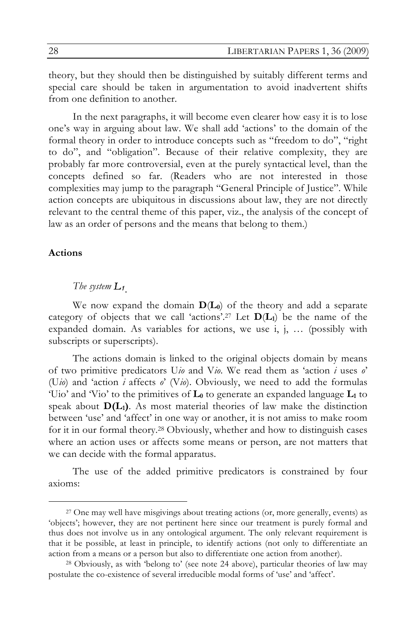theory, but they should then be distinguished by suitably different terms and special care should be taken in argumentation to avoid inadvertent shifts from one definition to another.

In the next paragraphs, it will become even clearer how easy it is to lose one's way in arguing about law. We shall add 'actions' to the domain of the formal theory in order to introduce concepts such as "freedom to do", "right to do", and "obligation". Because of their relative complexity, they are probably far more controversial, even at the purely syntactical level, than the concepts defined so far. (Readers who are not interested in those complexities may jump to the paragraph "General Principle of Justice". While action concepts are ubiquitous in discussions about law, they are not directly relevant to the central theme of this paper, viz., the analysis of the concept of law as an order of persons and the means that belong to them.)

### **Actions**

#### *The system L1.*

We now expand the domain **D**(**L0**) of the theory and add a separate category of objects that we call 'actions'.<sup>27</sup> Let  $D(L_1)$  be the name of the expanded domain. As variables for actions, we use i, j, … (possibly with subscripts or superscripts).

The actions domain is linked to the original objects domain by means of two primitive predicators U*io* and V*io*. We read them as 'action *i* uses *o*' (U*io*) and 'action *i* affects *o*' (V*io*). Obviously, we need to add the formulas 'Uio' and 'Vio' to the primitives of  $L_0$  to generate an expanded language  $L_1$  to speak about  $D(L_1)$ . As most material theories of law make the distinction between 'use' and 'affect' in one way or another, it is not amiss to make room for it in our formal theory.28 Obviously, whether and how to distinguish cases where an action uses or affects some means or person, are not matters that we can decide with the formal apparatus.

The use of the added primitive predicators is constrained by four axioms:

 <sup>27</sup> One may well have misgivings about treating actions (or, more generally, events) as 'objects'; however, they are not pertinent here since our treatment is purely formal and thus does not involve us in any ontological argument. The only relevant requirement is that it be possible, at least in principle, to identify actions (not only to differentiate an action from a means or a person but also to differentiate one action from another).

<sup>28</sup> Obviously, as with 'belong to' (see note 24 above), particular theories of law may postulate the co-existence of several irreducible modal forms of 'use' and 'affect'.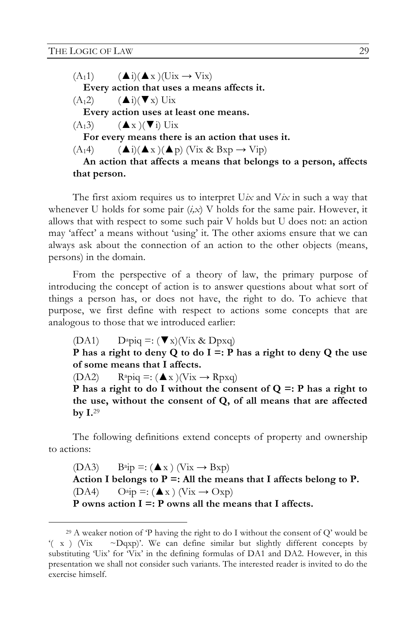$(A_11)$   $(A_i)(A_x)(Uix \rightarrow Vix)$ **Every action that uses a means affects it.**  $(A_12)$   $(A_i)(\blacktriangledown x)$  Uix **Every action uses at least one means.**  $(A_13)$   $(A x)(\blacktriangledown i)$  Uix **For every means there is an action that uses it.**  $(A_14)$   $($   $\blacktriangle$ i) $($   $\blacktriangle$  x  $)($   $\blacktriangle$  p)  $($ Vix & Bxp  $\rightarrow$  Vip) **An action that affects a means that belongs to a person, affects that person.**

The first axiom requires us to interpret U*ix* and V*ix* in such a way that whenever U holds for some pair (*i,x*) V holds for the same pair. However, it allows that with respect to some such pair V holds but U does not: an action may 'affect' a means without 'using' it. The other axioms ensure that we can always ask about the connection of an action to the other objects (means, persons) in the domain.

From the perspective of a theory of law, the primary purpose of introducing the concept of action is to answer questions about what sort of things a person has, or does not have, the right to do. To achieve that purpose, we first define with respect to actions some concepts that are analogous to those that we introduced earlier:

(DA1)  $D^a p i q =: (\nabla x)(V i x \& D p x q)$ 

**P has a right to deny Q to do I =: P has a right to deny Q the use of some means that I affects.**

(DA2)  $\text{R}^2$ piq =:  $(\triangle x)(\text{V}ix \rightarrow \text{R}pxq)$ 

**P has a right to do I without the consent of Q =: P has a right to the use, without the consent of Q, of all means that are affected by I.**<sup>29</sup>

The following definitions extend concepts of property and ownership to actions:

(DA3)  $\text{Bajp} =: (\triangle x) \text{ (Vix} \rightarrow \text{Bxp})$ Action I belongs to  $P =$ : All the means that I affects belong to  $P$ .  $(DA4)$   $O^{a}ip =: (\triangle x) (Vix \rightarrow Oxp)$ **P owns action I =: P owns all the means that I affects.**

 <sup>29</sup> A weaker notion of 'P having the right to do I without the consent of Q' would be  $'(x)$  (Vix  $\sim$  Dqxp)'. We can define similar but slightly different concepts by substituting 'Uix' for 'Vix' in the defining formulas of DA1 and DA2. However, in this presentation we shall not consider such variants. The interested reader is invited to do the exercise himself.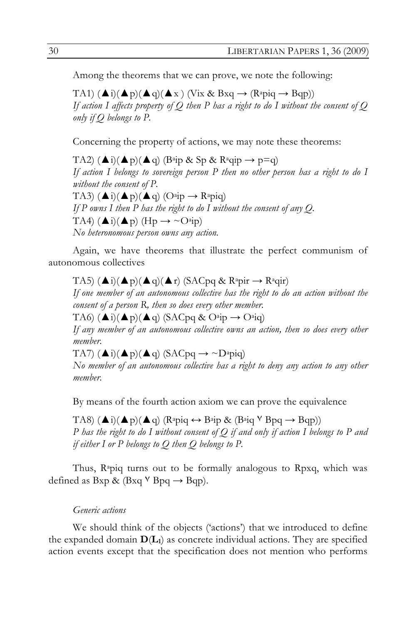Among the theorems that we can prove, we note the following:

TA1)  $(\triangle i)(\triangle p)(\triangle q)(\triangle x)$  (Vix & Bxq  $\rightarrow$  (R<sup>a</sup>piq  $\rightarrow$  Bqp)) *If action I affects property of Q then P has a right to do I without the consent of Q only if Q belongs to P.*

Concerning the property of actions, we may note these theorems:

TA2)  $(\triangle i)(\triangle p)(\triangle q)$  (B<sup>a</sup>ip & Sp & R<sup>a</sup>qip  $\rightarrow$  p=q) *If action I belongs to sovereign person P then no other person has a right to do I without the consent of P.* TA3)  $(\triangle i)(\triangle p)(\triangle q)$   $(O^{a}ip \rightarrow R^{a}pi)$ *If P owns I then P has the right to do I without the consent of any Q.* TA4)  $(\triangle i)(\triangle p)$  (Hp  $\rightarrow \sim$  O<sup>a</sup>ip) *No heteronomous person owns any action.*

Again, we have theorems that illustrate the perfect communism of autonomous collectives

TA5)  $(\triangle i)(\triangle p)(\triangle q)(\triangle r)$  (SACpq & Rapir  $\rightarrow$  Raqir) *If one member of an autonomous collective has the right to do an action without the consent of a person R, then so does every other member.* TA6)  $(\triangle i)(\triangle p)(\triangle q)$  (SACpq & O<sup>a</sup>ip  $\rightarrow$  O<sup>a</sup>iq) *If any member of an autonomous collective owns an action, then so does every other member.* TA7)  $(\triangle i)(\triangle p)(\triangle q)$  (SACpq  $\rightarrow \sim$ D<sup>a</sup>piq)

*No member of an autonomous collective has a right to deny any action to any other member.*

By means of the fourth action axiom we can prove the equivalence

TA8)  $(\triangle i)(\triangle p)(\triangle q)$  (R<sup>a</sup>piq  $\leftrightarrow$  B<sup>a</sup>ip & (B<sup>a</sup>iq <sup>V</sup> Bpq  $\rightarrow$  Bqp)) *P has the right to do I without consent of Q if and only if action I belongs to P and if either I or P belongs to Q then Q belongs to P.* 

Thus,  $\mathbb{R}^2$  apiq turns out to be formally analogous to  $\mathbb{R}$  pxq, which was defined as  $Bxp \& (Bxq \vee Bpq \rightarrow Bqp)$ .

#### *Generic actions*

We should think of the objects ('actions') that we introduced to define the expanded domain  $D(L_1)$  as concrete individual actions. They are specified action events except that the specification does not mention who performs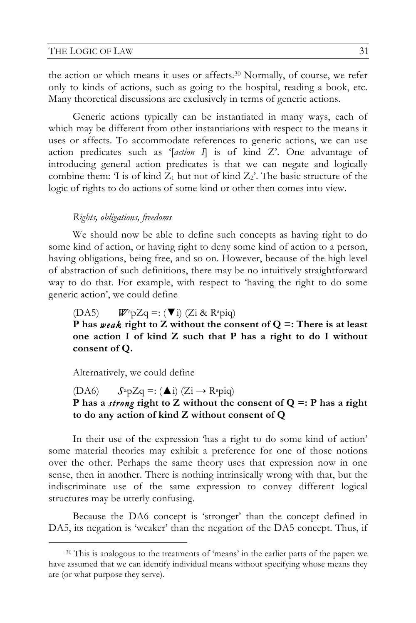the action or which means it uses or affects.30 Normally, of course, we refer only to kinds of actions, such as going to the hospital, reading a book, etc. Many theoretical discussions are exclusively in terms of generic actions.

Generic actions typically can be instantiated in many ways, each of which may be different from other instantiations with respect to the means it uses or affects. To accommodate references to generic actions, we can use action predicates such as '[*action I*] is of kind Z'. One advantage of introducing general action predicates is that we can negate and logically combine them: 'I is of kind  $Z_1$  but not of kind  $Z_2$ '. The basic structure of the logic of rights to do actions of some kind or other then comes into view.

#### *Rights, obligations, freedoms*

We should now be able to define such concepts as having right to do some kind of action, or having right to deny some kind of action to a person, having obligations, being free, and so on. However, because of the high level of abstraction of such definitions, there may be no intuitively straightforward way to do that. For example, with respect to 'having the right to do some generic action', we could define

(DA5)  $W^a p Z q =: (\nabla i)$  (Zi & R<sup>a</sup>piq)

**P has** *weak* **right to Z without the consent of Q =: There is at least one action I of kind Z such that P has a right to do I without consent of Q.**

Alternatively, we could define

## (DA6)  $S^a p Z q =: (\triangle i)$  (Zi  $\rightarrow$  R<sup>a</sup>piq) **P has a** *strong* **right to Z without the consent of Q =: P has a right to do any action of kind Z without consent of Q**

In their use of the expression 'has a right to do some kind of action' some material theories may exhibit a preference for one of those notions over the other. Perhaps the same theory uses that expression now in one sense, then in another. There is nothing intrinsically wrong with that, but the indiscriminate use of the same expression to convey different logical structures may be utterly confusing.

Because the DA6 concept is 'stronger' than the concept defined in DA5, its negation is 'weaker' than the negation of the DA5 concept. Thus, if

 <sup>30</sup> This is analogous to the treatments of 'means' in the earlier parts of the paper: we have assumed that we can identify individual means without specifying whose means they are (or what purpose they serve).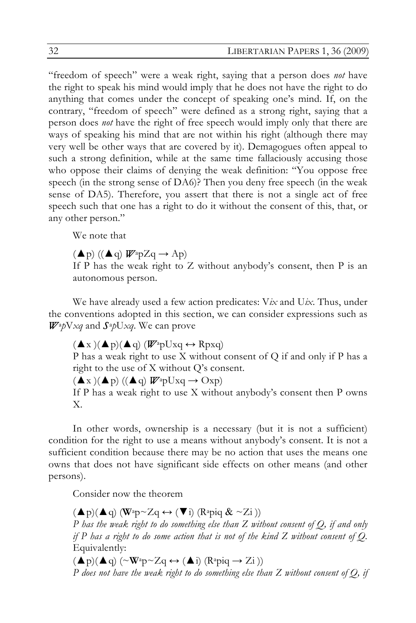"freedom of speech" were a weak right, saying that a person does *not* have the right to speak his mind would imply that he does not have the right to do anything that comes under the concept of speaking one's mind. If, on the contrary, "freedom of speech" were defined as a strong right, saying that a person does *not* have the right of free speech would imply only that there are ways of speaking his mind that are not within his right (although there may very well be other ways that are covered by it). Demagogues often appeal to such a strong definition, while at the same time fallaciously accusing those who oppose their claims of denying the weak definition: "You oppose free speech (in the strong sense of DA6)? Then you deny free speech (in the weak sense of DA5). Therefore, you assert that there is not a single act of free speech such that one has a right to do it without the consent of this, that, or any other person."

We note that

 $(\blacktriangle p)$  ( $(\blacktriangle q)$   $W^a p Z q \rightarrow Ap$ )

If P has the weak right to Z without anybody's consent, then P is an autonomous person.

We have already used a few action predicates: V*ix* and U*ix*. Thus, under the conventions adopted in this section, we can consider expressions such as *W*a*p*V*xq* and *S*a*p*U*xq*. We can prove

 $(\blacktriangle x)(\blacktriangle p)(\blacktriangle q)$  ( $\mathbb{W}$ <sup>a</sup>pUxq  $\leftrightarrow$  Rpxq)

P has a weak right to use X without consent of Q if and only if P has a right to the use of X without Q's consent.

 $(\blacktriangle x)(\blacktriangle p)$  ( $(\blacktriangle q)$   $W^{\text{ap}}Uxq \rightarrow \text{Oxp}$ )

If P has a weak right to use X without anybody's consent then P owns X.

In other words, ownership is a necessary (but it is not a sufficient) condition for the right to use a means without anybody's consent. It is not a sufficient condition because there may be no action that uses the means one owns that does not have significant side effects on other means (and other persons).

Consider now the theorem

 $(\triangle p)(\triangle q)$  (W<sup>a</sup>p~Zq  $\leftrightarrow$  ( $\nabla i$ ) (R<sup>a</sup>piq & ~Zi)) *P has the weak right to do something else than Z without consent of Q, if and only if P has a right to do some action that is not of the kind Z without consent of Q.*  Equivalently:

 $(\triangle p)(\triangle q)$  ( $\sim$ **W**<sup>a</sup>p $\sim$ Zq  $\leftrightarrow$  ( $\triangle$ i) (R<sup>a</sup>piq  $\rightarrow$  Zi)) *P does not have the weak right to do something else than Z without consent of Q, if*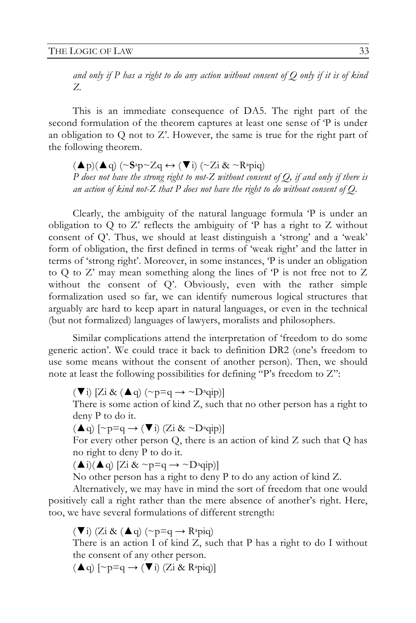*and only if P has a right to do any action without consent of Q only if it is of kind Z.*

This is an immediate consequence of DA5. The right part of the second formulation of the theorem captures at least one sense of 'P is under an obligation to Q not to Z'. However, the same is true for the right part of the following theorem.

 $(\triangle p)(\triangle q)$  (~ $S^a p \sim Zq \leftrightarrow (\blacktriangledown i)$  (~ $Z_i \& \sim R^a p i q$ ) *P does not have the strong right to not-Z without consent of Q, if and only if there is an action of kind not-Z that P does not have the right to do without consent of Q.*

Clearly, the ambiguity of the natural language formula 'P is under an obligation to Q to Z' reflects the ambiguity of 'P has a right to Z without consent of Q'. Thus, we should at least distinguish a 'strong' and a 'weak' form of obligation, the first defined in terms of 'weak right' and the latter in terms of 'strong right'. Moreover, in some instances, 'P is under an obligation to Q to Z' may mean something along the lines of 'P is not free not to Z without the consent of Q'. Obviously, even with the rather simple formalization used so far, we can identify numerous logical structures that arguably are hard to keep apart in natural languages, or even in the technical (but not formalized) languages of lawyers, moralists and philosophers.

Similar complications attend the interpretation of 'freedom to do some generic action'. We could trace it back to definition DR2 (one's freedom to use some means without the consent of another person). Then, we should note at least the following possibilities for defining "P's freedom to Z":

 $(\nabla i)$  [Zi &  $(\triangle q)$  (~p=q  $\rightarrow \sim D^a$ qip)]

There is some action of kind Z, such that no other person has a right to deny P to do it.

 $(\triangle q)$   $[\sim p=q \rightarrow (\blacktriangledown i)$   $(Z_i \& \sim D^a$ qip)]

For every other person Q, there is an action of kind Z such that Q has no right to deny P to do it.

 $(\triangle i)(\triangle q)$  [Zi & ~p=q  $\rightarrow \sim$ D<sup>a</sup>qip)]

No other person has a right to deny P to do any action of kind Z.

Alternatively, we may have in mind the sort of freedom that one would positively call a right rather than the mere absence of another's right. Here, too, we have several formulations of different strength:

 $(\nabla i)$  (Zi &  $(\triangle q)$  (~p=q  $\rightarrow$  R<sup>a</sup>piq)

There is an action I of kind Z, such that P has a right to do I without the consent of any other person.

 $(\triangle q)$   $[\sim p=q \rightarrow (\blacktriangledown i)$  (Zi & R<sup>a</sup>piq)]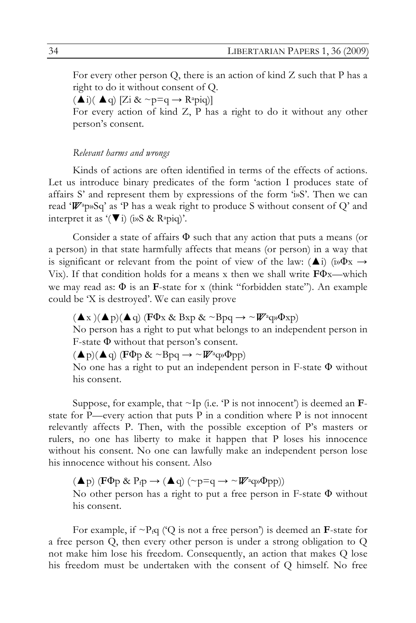For every other person Q, there is an action of kind Z such that P has a right to do it without consent of Q.

 $(\triangle i)(\triangle q)$  [Zi & ~p=q  $\rightarrow$  R<sup>a</sup>piq)]

For every action of kind Z, P has a right to do it without any other person's consent.

#### *Relevant harms and wrongs*

Kinds of actions are often identified in terms of the effects of actions. Let us introduce binary predicates of the form 'action I produces state of affairs  $S'$  and represent them by expressions of the form ' $\mathfrak{w}S'$ . Then we can read '*W*ap»Sq' as 'P has a weak right to produce S without consent of Q' and interpret it as  $'(\nabla i)$  (i»S & R<sup>a</sup>piq)'.

Consider a state of affairs  $\Phi$  such that any action that puts a means (or a person) in that state harmfully affects that means (or person) in a way that is significant or relevant from the point of view of the law:  $(\triangle i)$  (i» $\Phi$ x  $\rightarrow$ Vix). If that condition holds for a means x then we shall write **F**Φx—which we may read as: Φ is an **F**-state for x (think "forbidden state"). An example could be 'X is destroyed'. We can easily prove

 $(\blacktriangle x)(\blacktriangle p)(\blacktriangle q)$  (**F** $\Phi$ x & Bxp & ~Bpq  $\rightarrow \sim$   $\mathbb{W}$ <sup>a</sup>q» $\Phi$ xp)

No person has a right to put what belongs to an independent person in F-state Φ without that person's consent.

 $(\triangle p)(\triangle q)$  (**F** $\Phi$ p & ~Bpq  $\rightarrow \sim$  *W*<sup>a</sup>q» $\Phi$ pp)

No one has a right to put an independent person in F-state  $\Phi$  without his consent.

Suppose, for example, that  $\sim$ Ip (i.e.  $\rm{P}$  is not innocent') is deemed an **F**state for P—every action that puts P in a condition where P is not innocent relevantly affects P. Then, with the possible exception of P's masters or rulers, no one has liberty to make it happen that P loses his innocence without his consent. No one can lawfully make an independent person lose his innocence without his consent. Also

 $(\blacktriangle p)$  (**F** $\Phi$ p & P<sub>f</sub>p  $\rightarrow$  ( $\blacktriangle q$ ) (~p=q  $\rightarrow \sim$  *W*<sup>a</sup>q» $\Phi$ pp))

No other person has a right to put a free person in F-state Φ without his consent.

For example, if  $\sim P_f q$  ('Q is not a free person') is deemed an **F**-state for a free person Q, then every other person is under a strong obligation to Q not make him lose his freedom. Consequently, an action that makes Q lose his freedom must be undertaken with the consent of Q himself. No free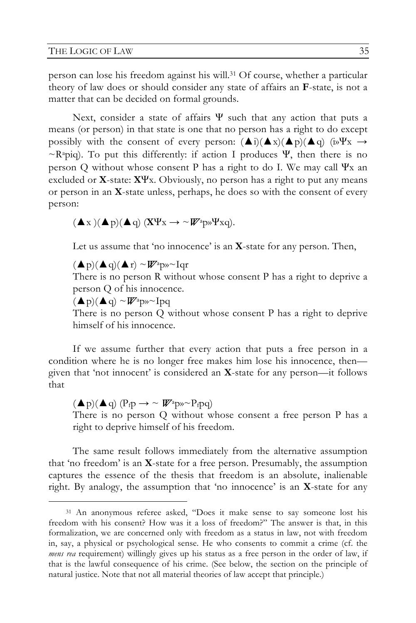person can lose his freedom against his will.31 Of course, whether a particular theory of law does or should consider any state of affairs an **F**-state, is not a matter that can be decided on formal grounds.

Next, consider a state of affairs  $\Psi$  such that any action that puts a means (or person) in that state is one that no person has a right to do except possibly with the consent of every person:  $(\triangle i)(\triangle x)(\triangle p)(\triangle q)$  (in  $\Psi x \rightarrow$  $\sim$ R<sup>a</sup>piq). To put this differently: if action I produces Ψ, then there is no person Q without whose consent P has a right to do I. We may call  $\Psi$ <sub>x</sub> an excluded or **X**-state: **X**Ψx. Obviously, no person has a right to put any means or person in an **X**-state unless, perhaps, he does so with the consent of every person:

$$
(\blacktriangle x)(\blacktriangle p)(\blacktriangle q) (X\Psi x \rightarrow \sim \mathbf{W}^a p \mathbf{W}^a xq).
$$

Let us assume that 'no innocence' is an **X**-state for any person. Then,

 $(\triangle p)(\triangle q)(\triangle r) \sim W^2$ p» $\sim$ Iqr

There is no person R without whose consent P has a right to deprive a person Q of his innocence.

 $(\blacktriangle p)(\blacktriangle q) \sim W^a$ p» $\sim$ Ipq

There is no person Q without whose consent P has a right to deprive himself of his innocence.

If we assume further that every action that puts a free person in a condition where he is no longer free makes him lose his innocence, then given that 'not innocent' is considered an **X**-state for any person—it follows that

 $(\blacktriangle p)(\blacktriangle q)$  (P<sub>f</sub>p  $\rightarrow \sim \mathbb{W}^2$ <sup>p</sup> $\sim$  P<sub>f</sub>pq) There is no person Q without whose consent a free person P has a right to deprive himself of his freedom.

The same result follows immediately from the alternative assumption that 'no freedom' is an **X**-state for a free person. Presumably, the assumption captures the essence of the thesis that freedom is an absolute, inalienable right. By analogy, the assumption that 'no innocence' is an **X**-state for any

 <sup>31</sup> An anonymous referee asked, "Does it make sense to say someone lost his freedom with his consent? How was it a loss of freedom?" The answer is that, in this formalization, we are concerned only with freedom as a status in law, not with freedom in, say, a physical or psychological sense. He who consents to commit a crime (cf. the *mens rea* requirement) willingly gives up his status as a free person in the order of law, if that is the lawful consequence of his crime. (See below, the section on the principle of natural justice. Note that not all material theories of law accept that principle.)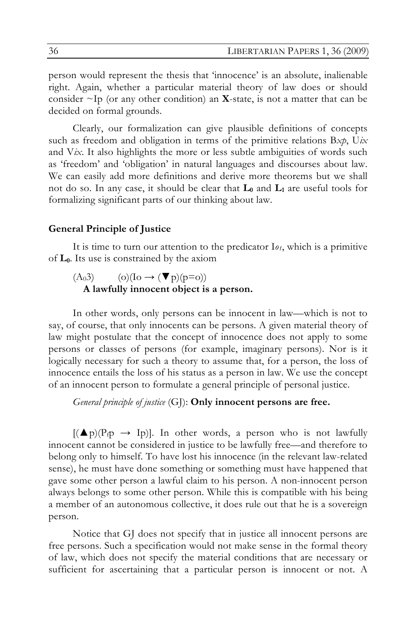person would represent the thesis that 'innocence' is an absolute, inalienable right. Again, whether a particular material theory of law does or should consider  $\sim$ Ip (or any other condition) an **X**-state, is not a matter that can be decided on formal grounds.

Clearly, our formalization can give plausible definitions of concepts such as freedom and obligation in terms of the primitive relations B*xp*, U*ix* and V*ix*. It also highlights the more or less subtle ambiguities of words such as 'freedom' and 'obligation' in natural languages and discourses about law. We can easily add more definitions and derive more theorems but we shall not do so. In any case, it should be clear that  $L_0$  and  $L_1$  are useful tools for formalizing significant parts of our thinking about law.

#### **General Principle of Justice**

It is time to turn our attention to the predicator  $I_{\theta_1}$ , which is a primitive of **L0**. Its use is constrained by the axiom

### $(A_03)$  (o)(Io  $\rightarrow$  ( $\nabla$  p)(p=o)) **A lawfully innocent object is a person.**

In other words, only persons can be innocent in law—which is not to say, of course, that only innocents can be persons. A given material theory of law might postulate that the concept of innocence does not apply to some persons or classes of persons (for example, imaginary persons). Nor is it logically necessary for such a theory to assume that, for a person, the loss of innocence entails the loss of his status as a person in law. We use the concept of an innocent person to formulate a general principle of personal justice.

*General principle of justice* (GJ): **Only innocent persons are free.**

 $[(\triangle p)(P_f \rightarrow I_p)]$ . In other words, a person who is not lawfully innocent cannot be considered in justice to be lawfully free—and therefore to belong only to himself. To have lost his innocence (in the relevant law-related sense), he must have done something or something must have happened that gave some other person a lawful claim to his person. A non-innocent person always belongs to some other person. While this is compatible with his being a member of an autonomous collective, it does rule out that he is a sovereign person.

Notice that GJ does not specify that in justice all innocent persons are free persons. Such a specification would not make sense in the formal theory of law, which does not specify the material conditions that are necessary or sufficient for ascertaining that a particular person is innocent or not. A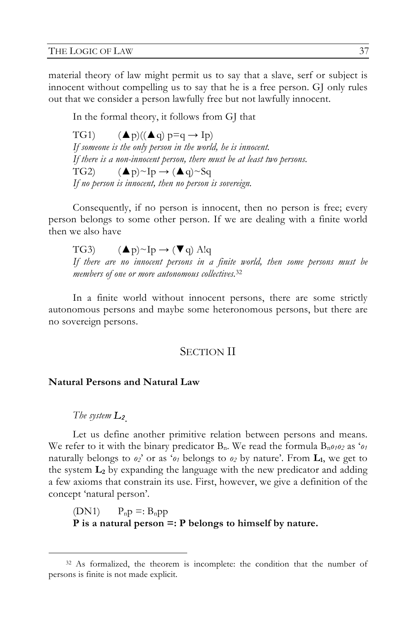material theory of law might permit us to say that a slave, serf or subject is innocent without compelling us to say that he is a free person. GJ only rules out that we consider a person lawfully free but not lawfully innocent.

In the formal theory, it follows from GJ that

TG1)  $($   $\blacktriangle$  p) $(($   $\blacktriangle$  q) p=q  $\rightarrow$  Ip) *If someone is the only person in the world, he is innocent. If there is a non-innocent person, there must be at least two persons.* TG2)  $(\blacktriangle p) \sim Ip \rightarrow (\blacktriangle q) \sim Sq$ *If no person is innocent, then no person is sovereign.*

Consequently, if no person is innocent, then no person is free; every person belongs to some other person. If we are dealing with a finite world then we also have

TG3)  $(\blacktriangle p) \sim Ip \rightarrow (\blacktriangledown q)$  A!q *If there are no innocent persons in a finite world, then some persons must be members of one or more autonomous collectives.*<sup>32</sup>

In a finite world without innocent persons, there are some strictly autonomous persons and maybe some heteronomous persons, but there are no sovereign persons.

### SECTION II

#### **Natural Persons and Natural Law**

*The system L2.* 

Let us define another primitive relation between persons and means. We refer to it with the binary predicator  $B_n$ . We read the formula  $B_n \rho_1 \rho_2$  as ' $\rho_1$ naturally belongs to  $o_2$ ' or as ' $o_1$  belongs to  $o_2$  by nature'. From  $\mathbf{L}_1$ , we get to the system **L2** by expanding the language with the new predicator and adding a few axioms that constrain its use. First, however, we give a definition of the concept 'natural person'.

 $(DN1)$   $P_n p =: B_n p p$ **P is a natural person =: P belongs to himself by nature.**

 <sup>32</sup> As formalized, the theorem is incomplete: the condition that the number of persons is finite is not made explicit.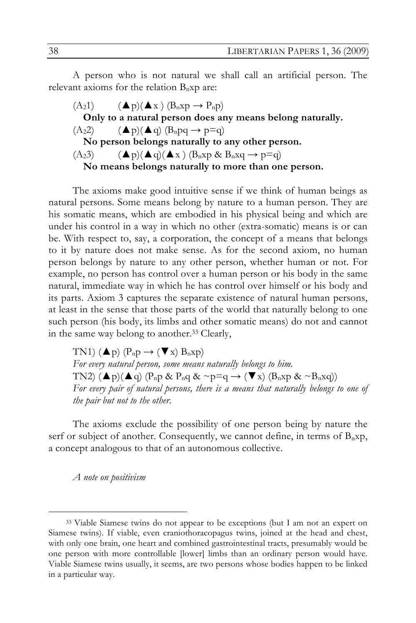A person who is not natural we shall call an artificial person. The relevant axioms for the relation  $B_n$ xp are:

 $(A_21)$   $($ **A**  $p)($ **A**  $x)$   $(B_nxp \rightarrow P_np)$ **Only to a natural person does any means belong naturally.**  $(A_22)$   $($ **A** $p)$  $($ **A** $q)$  $(B_npq \rightarrow p=q)$ **No person belongs naturally to any other person.**  $(A_23)$   $($   $\blacktriangle$   $p)($   $\blacktriangle$   $q)($   $\blacktriangle$   $x)$   $(B_nxp \& B_nxq \rightarrow p=q)$ **No means belongs naturally to more than one person.**

The axioms make good intuitive sense if we think of human beings as natural persons. Some means belong by nature to a human person. They are his somatic means, which are embodied in his physical being and which are under his control in a way in which no other (extra-somatic) means is or can be. With respect to, say, a corporation, the concept of a means that belongs to it by nature does not make sense. As for the second axiom, no human person belongs by nature to any other person, whether human or not. For example, no person has control over a human person or his body in the same natural, immediate way in which he has control over himself or his body and its parts. Axiom 3 captures the separate existence of natural human persons, at least in the sense that those parts of the world that naturally belong to one such person (his body, its limbs and other somatic means) do not and cannot in the same way belong to another.33 Clearly,

TN1)  $(\blacktriangle p)$   $(P_n p \rightarrow (\blacktriangledown x) B_n xp)$ *For every natural person, some means naturally belongs to him.* TN2)  $(\blacktriangle p)(\blacktriangle q)$   $(P_n p \& P_n q \& \sim p = q \rightarrow (\blacktriangledown x)$   $(B_n xp \& \sim B_n xq))$ For every pair of natural persons, there is a means that naturally belongs to one of *the pair but not to the other.*

The axioms exclude the possibility of one person being by nature the serf or subject of another. Consequently, we cannot define, in terms of  $B_nxp$ , a concept analogous to that of an autonomous collective.

*A note on positivism*

 <sup>33</sup> Viable Siamese twins do not appear to be exceptions (but I am not an expert on Siamese twins). If viable, even craniothoracopagus twins, joined at the head and chest, with only one brain, one heart and combined gastrointestinal tracts, presumably would be one person with more controllable [lower] limbs than an ordinary person would have. Viable Siamese twins usually, it seems, are two persons whose bodies happen to be linked in a particular way.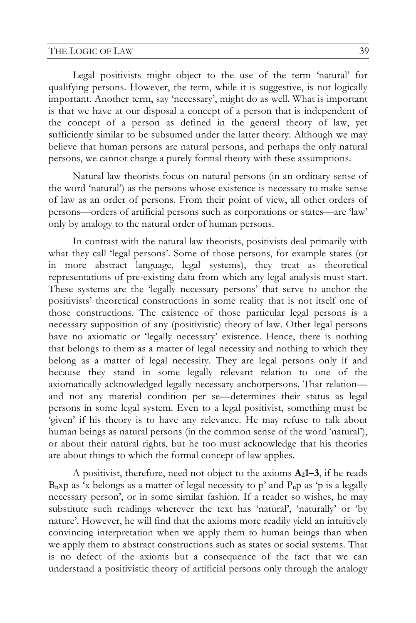Legal positivists might object to the use of the term 'natural' for qualifying persons. However, the term, while it is suggestive, is not logically important. Another term, say 'necessary', might do as well. What is important is that we have at our disposal a concept of a person that is independent of the concept of a person as defined in the general theory of law, yet sufficiently similar to be subsumed under the latter theory. Although we may believe that human persons are natural persons, and perhaps the only natural persons, we cannot charge a purely formal theory with these assumptions.

Natural law theorists focus on natural persons (in an ordinary sense of the word 'natural') as the persons whose existence is necessary to make sense of law as an order of persons. From their point of view, all other orders of persons—orders of artificial persons such as corporations or states—are 'law' only by analogy to the natural order of human persons.

In contrast with the natural law theorists, positivists deal primarily with what they call 'legal persons'. Some of those persons, for example states (or in more abstract language, legal systems), they treat as theoretical representations of pre-existing data from which any legal analysis must start. These systems are the 'legally necessary persons' that serve to anchor the positivists' theoretical constructions in some reality that is not itself one of those constructions. The existence of those particular legal persons is a necessary supposition of any (positivistic) theory of law. Other legal persons have no axiomatic or 'legally necessary' existence. Hence, there is nothing that belongs to them as a matter of legal necessity and nothing to which they belong as a matter of legal necessity. They are legal persons only if and because they stand in some legally relevant relation to one of the axiomatically acknowledged legally necessary anchorpersons. That relation and not any material condition per se—determines their status as legal persons in some legal system. Even to a legal positivist, something must be 'given' if his theory is to have any relevance. He may refuse to talk about human beings as natural persons (in the common sense of the word 'natural'), or about their natural rights, but he too must acknowledge that his theories are about things to which the formal concept of law applies.

A positivist, therefore, need not object to the axioms  $A_2I-3$ , if he reads  $B_n$ xp as 'x belongs as a matter of legal necessity to p' and  $P_n$ p as 'p is a legally necessary person', or in some similar fashion. If a reader so wishes, he may substitute such readings wherever the text has 'natural', 'naturally' or 'by nature'. However, he will find that the axioms more readily yield an intuitively convincing interpretation when we apply them to human beings than when we apply them to abstract constructions such as states or social systems. That is no defect of the axioms but a consequence of the fact that we can understand a positivistic theory of artificial persons only through the analogy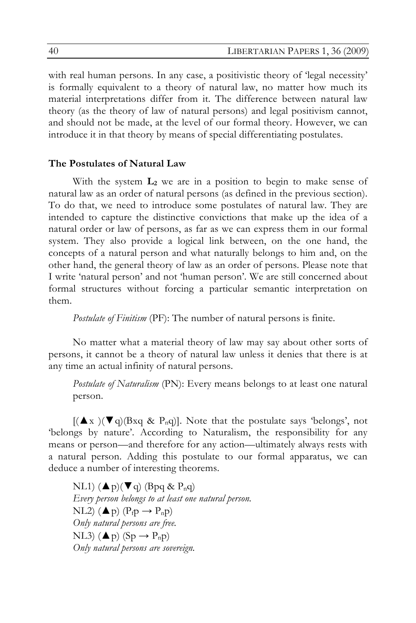with real human persons. In any case, a positivistic theory of 'legal necessity' is formally equivalent to a theory of natural law, no matter how much its material interpretations differ from it. The difference between natural law theory (as the theory of law of natural persons) and legal positivism cannot, and should not be made, at the level of our formal theory. However, we can introduce it in that theory by means of special differentiating postulates.

## **The Postulates of Natural Law**

With the system  $L_2$  we are in a position to begin to make sense of natural law as an order of natural persons (as defined in the previous section). To do that, we need to introduce some postulates of natural law. They are intended to capture the distinctive convictions that make up the idea of a natural order or law of persons, as far as we can express them in our formal system. They also provide a logical link between, on the one hand, the concepts of a natural person and what naturally belongs to him and, on the other hand, the general theory of law as an order of persons. Please note that I write 'natural person' and not 'human person'. We are still concerned about formal structures without forcing a particular semantic interpretation on them.

*Postulate of Finitism* (PF): The number of natural persons is finite.

No matter what a material theory of law may say about other sorts of persons, it cannot be a theory of natural law unless it denies that there is at any time an actual infinity of natural persons.

*Postulate of Naturalism* (PN): Every means belongs to at least one natural person.

 $[(\triangle x)(\blacktriangledown q)$ (Bxq & P<sub>n</sub>q)]. Note that the postulate says 'belongs', not 'belongs by nature'. According to Naturalism, the responsibility for any means or person—and therefore for any action—ultimately always rests with a natural person. Adding this postulate to our formal apparatus, we can deduce a number of interesting theorems.

NL1)  $(\blacktriangle p)(\blacktriangledown q)$  (Bpq & P<sub>n</sub>q) *Every person belongs to at least one natural person.* NL2) ( $\blacktriangle$  p) ( $P_{\text{f}}$ p  $\rightarrow$   $P_{\text{n}}$ p) *Only natural persons are free.* NL3)  $(\triangle p)$  (Sp  $\rightarrow$  P<sub>n</sub>p) *Only natural persons are sovereign.*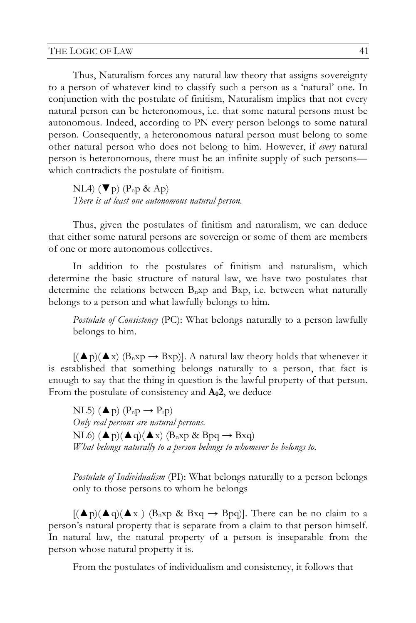Thus, Naturalism forces any natural law theory that assigns sovereignty to a person of whatever kind to classify such a person as a 'natural' one. In conjunction with the postulate of finitism, Naturalism implies that not every natural person can be heteronomous, i.e. that some natural persons must be autonomous. Indeed, according to PN every person belongs to some natural person. Consequently, a heteronomous natural person must belong to some other natural person who does not belong to him. However, if *every* natural person is heteronomous, there must be an infinite supply of such persons which contradicts the postulate of finitism.

NL4)  $(\nabla p)$  (P<sub>n</sub>p & Ap) *There is at least one autonomous natural person.*

Thus, given the postulates of finitism and naturalism, we can deduce that either some natural persons are sovereign or some of them are members of one or more autonomous collectives.

In addition to the postulates of finitism and naturalism, which determine the basic structure of natural law, we have two postulates that determine the relations between  $B_nxp$  and  $Bxp$ , i.e. between what naturally belongs to a person and what lawfully belongs to him.

*Postulate of Consistency* (PC): What belongs naturally to a person lawfully belongs to him.

 $[(\triangle p)(\triangle x)$   $(B_nxp \rightarrow Bxp)]$ . A natural law theory holds that whenever it is established that something belongs naturally to a person, that fact is enough to say that the thing in question is the lawful property of that person. From the postulate of consistency and  $A_02$ , we deduce

NL5) ( $\blacktriangle$ p) (P<sub>n</sub>p  $\rightarrow$  P<sub>r</sub>p) *Only real persons are natural persons.* NL6)  $(\blacktriangle p)(\blacktriangle q)(\blacktriangle x)$   $(B_nxp \& Bpq \rightarrow Bxq)$ *What belongs naturally to a person belongs to whomever he belongs to.*

*Postulate of Individualism* (PI): What belongs naturally to a person belongs only to those persons to whom he belongs

 $[(\triangle p)(\triangle q)(\triangle x)$  (B<sub>n</sub>xp & Bxq  $\rightarrow$  Bpq)]. There can be no claim to a person's natural property that is separate from a claim to that person himself. In natural law, the natural property of a person is inseparable from the person whose natural property it is.

From the postulates of individualism and consistency, it follows that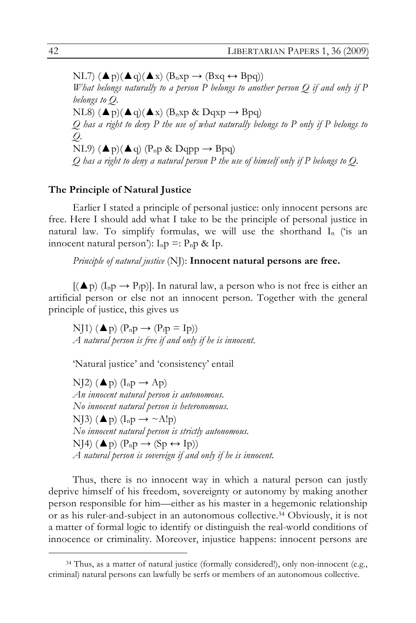$NL7$ )  $(\triangle p)(\triangle q)(\triangle x)$   $(B_nxp \rightarrow (B_xq \leftrightarrow B_pq))$ *What belongs naturally to a person P belongs to another person Q if and only if P belongs to Q.* NL8)  $(\triangle p)(\triangle q)(\triangle x)$   $(B_nxp \& Dqxp \rightarrow Bpq)$ *Q has a right to deny P the use of what naturally belongs to P only if P belongs to Q.* NL9)  $(\triangle p)(\triangle q)$  (P<sub>n</sub>p & Dqpp  $\rightarrow$  Bpq) *Q has a right to deny a natural person P the use of himself only if P belongs to Q.*

### **The Principle of Natural Justice**

Earlier I stated a principle of personal justice: only innocent persons are free. Here I should add what I take to be the principle of personal justice in natural law. To simplify formulas, we will use the shorthand  $I_n$  ('is an innocent natural person'):  $I_n p =: P_n p \& I p$ .

*Principle of natural justice* (NJ): **Innocent natural persons are free.**

 $[(\triangle p) (I_n p \rightarrow P_f p)]$ . In natural law, a person who is not free is either an artificial person or else not an innocent person. Together with the general principle of justice, this gives us

NJ1) ( $\triangle$  p) ( $P_n p \rightarrow (P_f p = I p)$ ) *A natural person is free if and only if he is innocent.*

'Natural justice' and 'consistency' entail

NJ2) ( $\blacktriangle$  p) ( $I_n$ p  $\rightarrow$  Ap) *An innocent natural person is autonomous. No innocent natural person is heteronomous.* NJ3) ( $\blacktriangle$ p) (I<sub>n</sub>p  $\rightarrow \sim$ A!p) *No innocent natural person is strictly autonomous.* NJ4)  $(\triangle p)$   $(P_n p \rightarrow (Sp \leftrightarrow Ip))$ *A natural person is sovereign if and only if he is innocent.*

Thus, there is no innocent way in which a natural person can justly deprive himself of his freedom, sovereignty or autonomy by making another person responsible for him—either as his master in a hegemonic relationship or as his ruler-and-subject in an autonomous collective.34 Obviously, it is not a matter of formal logic to identify or distinguish the real-world conditions of innocence or criminality. Moreover, injustice happens: innocent persons are

 <sup>34</sup> Thus, as a matter of natural justice (formally considered!), only non-innocent (e.g., criminal) natural persons can lawfully be serfs or members of an autonomous collective.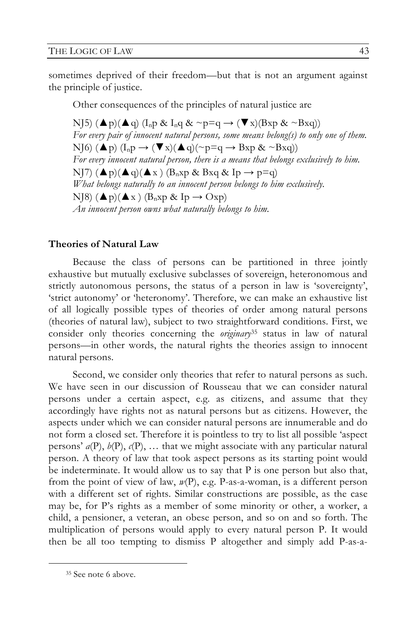sometimes deprived of their freedom—but that is not an argument against the principle of justice.

Other consequences of the principles of natural justice are

NJ5) ( $\blacktriangle$ p)( $\blacktriangle$ q) (I<sub>n</sub>p & I<sub>n</sub>q & ~p=q  $\rightarrow$  ( $\nabla$ x)(Bxp & ~Bxq)) *For every pair of innocent natural persons, some means belong(s) to only one of them.* NJ6)  $(\triangle p)$   $(I_n p \rightarrow (\blacktriangledown x) (\triangle q) (\sim p = q \rightarrow Bxp \& \sim Bxq))$ *For every innocent natural person, there is a means that belongs exclusively to him.*  NJ7)  $(\triangle p)(\triangle q)(\triangle x)$   $(B_nxp \& Bxq \& Ip \rightarrow p=q)$ *What belongs naturally to an innocent person belongs to him exclusively.* NJ8)  $(\blacktriangle p)(\blacktriangle x)$   $(B_nxp \& Ip \rightarrow Oxp)$ *An innocent person owns what naturally belongs to him.*

#### **Theories of Natural Law**

Because the class of persons can be partitioned in three jointly exhaustive but mutually exclusive subclasses of sovereign, heteronomous and strictly autonomous persons, the status of a person in law is 'sovereignty', 'strict autonomy' or 'heteronomy'. Therefore, we can make an exhaustive list of all logically possible types of theories of order among natural persons (theories of natural law), subject to two straightforward conditions. First, we consider only theories concerning the *originary*35 status in law of natural persons—in other words, the natural rights the theories assign to innocent natural persons.

Second, we consider only theories that refer to natural persons as such. We have seen in our discussion of Rousseau that we can consider natural persons under a certain aspect, e.g. as citizens, and assume that they accordingly have rights not as natural persons but as citizens. However, the aspects under which we can consider natural persons are innumerable and do not form a closed set. Therefore it is pointless to try to list all possible 'aspect persons'  $a(P)$ ,  $b(P)$ ,  $c(P)$ , ... that we might associate with any particular natural person. A theory of law that took aspect persons as its starting point would be indeterminate. It would allow us to say that P is one person but also that, from the point of view of law, *w*(P), e.g. P-as-a-woman, is a different person with a different set of rights. Similar constructions are possible, as the case may be, for P's rights as a member of some minority or other, a worker, a child, a pensioner, a veteran, an obese person, and so on and so forth. The multiplication of persons would apply to every natural person P. It would then be all too tempting to dismiss P altogether and simply add P-as-a-

 <sup>35</sup> See note 6 above.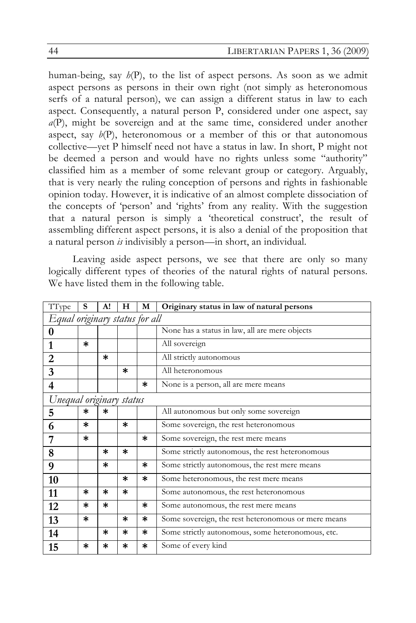human-being, say *h*(P), to the list of aspect persons. As soon as we admit aspect persons as persons in their own right (not simply as heteronomous serfs of a natural person), we can assign a different status in law to each aspect. Consequently, a natural person P, considered under one aspect, say *a*(P), might be sovereign and at the same time, considered under another aspect, say  $b(P)$ , heteronomous or a member of this or that autonomous collective—yet P himself need not have a status in law. In short, P might not be deemed a person and would have no rights unless some "authority" classified him as a member of some relevant group or category. Arguably, that is very nearly the ruling conception of persons and rights in fashionable opinion today. However, it is indicative of an almost complete dissociation of the concepts of 'person' and 'rights' from any reality. With the suggestion that a natural person is simply a 'theoretical construct', the result of assembling different aspect persons, it is also a denial of the proposition that a natural person *is* indivisibly a person—in short, an individual.

Leaving aside aspect persons, we see that there are only so many logically different types of theories of the natural rights of natural persons. We have listed them in the following table.

| TType                          | S      | A!     | н      | M      | Originary status in law of natural persons          |  |
|--------------------------------|--------|--------|--------|--------|-----------------------------------------------------|--|
| Equal originary status for all |        |        |        |        |                                                     |  |
| 0                              |        |        |        |        | None has a status in law, all are mere objects      |  |
| 1                              | $\ast$ |        |        |        | All sovereign                                       |  |
| 2                              |        | *      |        |        | All strictly autonomous                             |  |
| 3                              |        |        | $\ast$ |        | All heteronomous                                    |  |
| $\overline{\mathbf{4}}$        |        |        |        | $\ast$ | None is a person, all are mere means                |  |
| Unequal originary status       |        |        |        |        |                                                     |  |
| 5                              | *      | *      |        |        | All autonomous but only some sovereign              |  |
| 6                              | *      |        | $\ast$ |        | Some sovereign, the rest heteronomous               |  |
| 7                              | $\ast$ |        |        | $\ast$ | Some sovereign, the rest mere means                 |  |
| 8                              |        | ж      | $\ast$ |        | Some strictly autonomous, the rest heteronomous     |  |
| 9                              |        | $\ast$ |        | *      | Some strictly autonomous, the rest mere means       |  |
| 10                             |        |        | $\ast$ | $\ast$ | Some heteronomous, the rest mere means              |  |
| 11                             | ж      | ж      | $\ast$ |        | Some autonomous, the rest heteronomous              |  |
| 12                             | *      | ∗      |        | *      | Some autonomous, the rest mere means                |  |
| 13                             | $\ast$ |        | ∗      | *      | Some sovereign, the rest heteronomous or mere means |  |
| 14                             |        | *      | $\ast$ | *      | Some strictly autonomous, some heteronomous, etc.   |  |
| 15                             | *      | *      | ∗      | *      | Some of every kind                                  |  |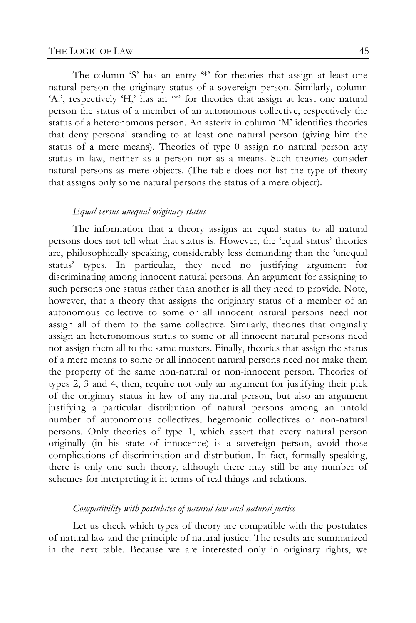#### THE LOGIC OF LAW 45

The column 'S' has an entry '\*' for theories that assign at least one natural person the originary status of a sovereign person. Similarly, column 'A!', respectively 'H,' has an '\*' for theories that assign at least one natural person the status of a member of an autonomous collective, respectively the status of a heteronomous person. An asterix in column 'M' identifies theories that deny personal standing to at least one natural person (giving him the status of a mere means). Theories of type 0 assign no natural person any status in law, neither as a person nor as a means. Such theories consider natural persons as mere objects. (The table does not list the type of theory that assigns only some natural persons the status of a mere object).

#### *Equal versus unequal originary status*

The information that a theory assigns an equal status to all natural persons does not tell what that status is. However, the 'equal status' theories are, philosophically speaking, considerably less demanding than the 'unequal status' types. In particular, they need no justifying argument for discriminating among innocent natural persons. An argument for assigning to such persons one status rather than another is all they need to provide. Note, however, that a theory that assigns the originary status of a member of an autonomous collective to some or all innocent natural persons need not assign all of them to the same collective. Similarly, theories that originally assign an heteronomous status to some or all innocent natural persons need not assign them all to the same masters. Finally, theories that assign the status of a mere means to some or all innocent natural persons need not make them the property of the same non-natural or non-innocent person. Theories of types 2, 3 and 4, then, require not only an argument for justifying their pick of the originary status in law of any natural person, but also an argument justifying a particular distribution of natural persons among an untold number of autonomous collectives, hegemonic collectives or non-natural persons. Only theories of type 1, which assert that every natural person originally (in his state of innocence) is a sovereign person, avoid those complications of discrimination and distribution. In fact, formally speaking, there is only one such theory, although there may still be any number of schemes for interpreting it in terms of real things and relations.

### *Compatibility with postulates of natural law and natural justice*

Let us check which types of theory are compatible with the postulates of natural law and the principle of natural justice. The results are summarized in the next table. Because we are interested only in originary rights, we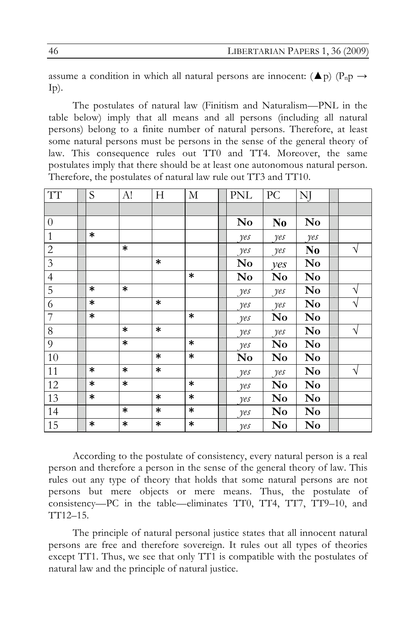assume a condition in which all natural persons are innocent:  $(\triangle p)$  (P<sub>n</sub>p  $\rightarrow$  $I_p$ ).

The postulates of natural law (Finitism and Naturalism—PNL in the table below) imply that all means and all persons (including all natural persons) belong to a finite number of natural persons. Therefore, at least some natural persons must be persons in the sense of the general theory of law. This consequence rules out TT0 and TT4. Moreover, the same postulates imply that there should be at least one autonomous natural person. Therefore, the postulates of natural law rule out TT3 and TT10.

| TT             | S      | A!     | H      | M      | $\mbox{PNL}$   | PC             | NJ                     |   |
|----------------|--------|--------|--------|--------|----------------|----------------|------------------------|---|
|                |        |        |        |        |                |                |                        |   |
| $\theta$       |        |        |        |        | N <sub>0</sub> | N <sub>0</sub> | $\mathbf{N}\mathbf{o}$ |   |
| $\mathbf{1}$   | *      |        |        |        | yes            | yes            | yes                    |   |
| $\sqrt{2}$     |        | $\ast$ |        |        | yes            | yes            | N <sub>0</sub>         | V |
| $\mathfrak{Z}$ |        |        | $\ast$ |        | N <sub>0</sub> | yes            | N <sub>0</sub>         |   |
| $\overline{4}$ |        |        |        | $\ast$ | No             | N <sub>0</sub> | N <sub>0</sub>         |   |
| 5              | $\ast$ | $\ast$ |        |        | yes            | yes            | No                     | ٦ |
| $\sqrt{6}$     | $\ast$ |        | $\ast$ |        | yes            | yes            | No                     | V |
| $\overline{7}$ | $\ast$ |        |        | $\ast$ | yes            | No             | No                     |   |
| $8\,$          |        | $\ast$ | $\ast$ |        | yes            | yes            | No                     | V |
| 9              |        | $\ast$ |        | $\ast$ | yes            | N <sub>0</sub> | No                     |   |
| 10             |        |        | *      | $\ast$ | No             | No             | No                     |   |
| 11             | $\ast$ | $\ast$ | $\ast$ |        | yes            | yes            | $\bf No$               | V |
| 12             | $\ast$ | $\ast$ |        | $\ast$ | yes            | No             | $\mathbf{N}\mathbf{o}$ |   |
| 13             | $\ast$ |        | *      | $\ast$ | yes            | No             | N <sub>0</sub>         |   |
| 14             |        | *      | $\ast$ | $\ast$ | yes            | N <sub>0</sub> | N <sub>0</sub>         |   |
| 15             | $\ast$ | *      | $\ast$ | $\ast$ | yes            | No             | No                     |   |

According to the postulate of consistency, every natural person is a real person and therefore a person in the sense of the general theory of law. This rules out any type of theory that holds that some natural persons are not persons but mere objects or mere means. Thus, the postulate of consistency—PC in the table—eliminates TT0, TT4, TT7, TT9–10, and TT12–15.

The principle of natural personal justice states that all innocent natural persons are free and therefore sovereign. It rules out all types of theories except TT1. Thus, we see that only TT1 is compatible with the postulates of natural law and the principle of natural justice.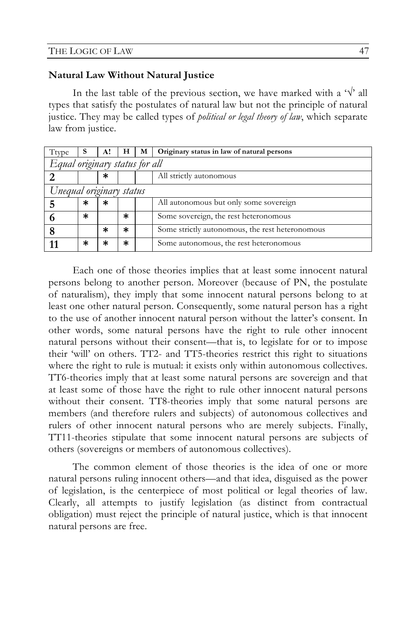#### **Natural Law Without Natural Justice**

In the last table of the previous section, we have marked with a ' $\sqrt{$ ' all types that satisfy the postulates of natural law but not the principle of natural justice. They may be called types of *political or legal theory of law*, which separate law from justice.

| Ttype                          | s      | A!     | н | М | Originary status in law of natural persons      |  |
|--------------------------------|--------|--------|---|---|-------------------------------------------------|--|
| Equal originary status for all |        |        |   |   |                                                 |  |
| ာ                              |        | $\ast$ |   |   | All strictly autonomous                         |  |
| Unequal originary status       |        |        |   |   |                                                 |  |
|                                | $\ast$ | $\ast$ |   |   | All autonomous but only some sovereign          |  |
| o                              | $\ast$ |        | * |   | Some sovereign, the rest heteronomous           |  |
|                                |        | ж      | * |   | Some strictly autonomous, the rest heteronomous |  |
| 11                             | $\ast$ | ж      | * |   | Some autonomous, the rest heteronomous          |  |

Each one of those theories implies that at least some innocent natural persons belong to another person. Moreover (because of PN, the postulate of naturalism), they imply that some innocent natural persons belong to at least one other natural person. Consequently, some natural person has a right to the use of another innocent natural person without the latter's consent. In other words, some natural persons have the right to rule other innocent natural persons without their consent—that is, to legislate for or to impose their 'will' on others. TT2- and TT5-theories restrict this right to situations where the right to rule is mutual: it exists only within autonomous collectives. TT6-theories imply that at least some natural persons are sovereign and that at least some of those have the right to rule other innocent natural persons without their consent. TT8-theories imply that some natural persons are members (and therefore rulers and subjects) of autonomous collectives and rulers of other innocent natural persons who are merely subjects. Finally, TT11-theories stipulate that some innocent natural persons are subjects of others (sovereigns or members of autonomous collectives).

The common element of those theories is the idea of one or more natural persons ruling innocent others—and that idea, disguised as the power of legislation, is the centerpiece of most political or legal theories of law. Clearly, all attempts to justify legislation (as distinct from contractual obligation) must reject the principle of natural justice, which is that innocent natural persons are free.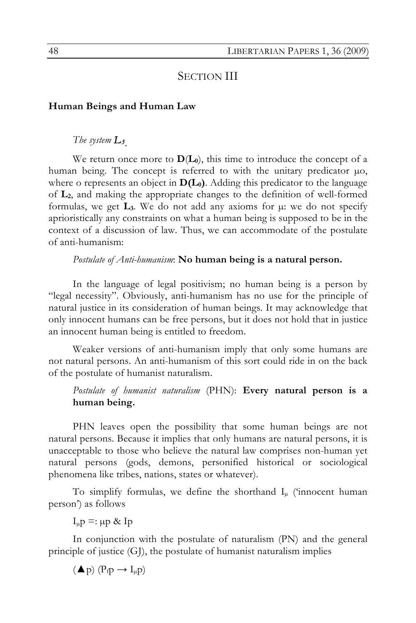## SECTION III

#### **Human Beings and Human Law**

## *The system L3.*

We return once more to  $D(L_0)$ , this time to introduce the concept of a human being. The concept is referred to with the unitary predicator  $\mu$ o, where o represents an object in  $D(L_0)$ . Adding this predicator to the language of **L2**, and making the appropriate changes to the definition of well-formed formulas, we get  $\mathbf{L}_3$ . We do not add any axioms for  $\mu$ : we do not specify aprioristically any constraints on what a human being is supposed to be in the context of a discussion of law. Thus, we can accommodate of the postulate of anti-humanism:

### *Postulate of Anti-humanism*: **No human being is a natural person.**

In the language of legal positivism; no human being is a person by "legal necessity". Obviously, anti-humanism has no use for the principle of natural justice in its consideration of human beings. It may acknowledge that only innocent humans can be free persons, but it does not hold that in justice an innocent human being is entitled to freedom.

Weaker versions of anti-humanism imply that only some humans are not natural persons. An anti-humanism of this sort could ride in on the back of the postulate of humanist naturalism.

*Postulate of humanist naturalism* (PHN): **Every natural person is a human being.**

PHN leaves open the possibility that some human beings are not natural persons. Because it implies that only humans are natural persons, it is unacceptable to those who believe the natural law comprises non-human yet natural persons (gods, demons, personified historical or sociological phenomena like tribes, nations, states or whatever).

To simplify formulas, we define the shorthand  $I_{\mu}$  ('innocent human person') as follows

 $I_{\mu}p =: \mu p \& Ip$ 

In conjunction with the postulate of naturalism (PN) and the general principle of justice (GJ), the postulate of humanist naturalism implies

 $(\blacktriangle p)$   $(P_f p \rightarrow I_\mu p)$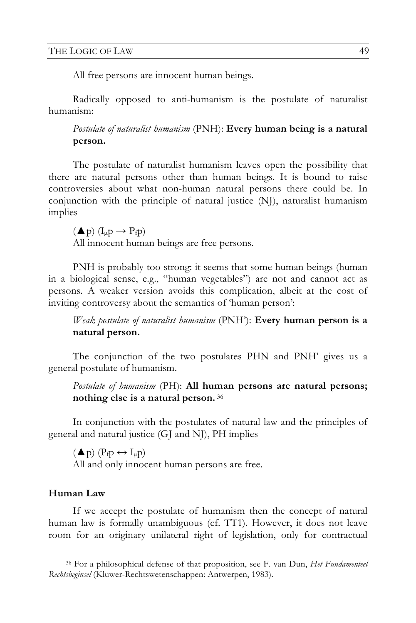All free persons are innocent human beings.

Radically opposed to anti-humanism is the postulate of naturalist humanism:

*Postulate of naturalist humanism* (PNH): **Every human being is a natural person.**

The postulate of naturalist humanism leaves open the possibility that there are natural persons other than human beings. It is bound to raise controversies about what non-human natural persons there could be. In conjunction with the principle of natural justice (NJ), naturalist humanism implies

 $(\blacktriangle p)$   $(I_{\mu}p \rightarrow P_{f}p)$ 

All innocent human beings are free persons.

PNH is probably too strong: it seems that some human beings (human in a biological sense, e.g., "human vegetables") are not and cannot act as persons. A weaker version avoids this complication, albeit at the cost of inviting controversy about the semantics of 'human person':

*Weak postulate of naturalist humanism* (PNH'): **Every human person is a natural person.**

The conjunction of the two postulates PHN and PNH' gives us a general postulate of humanism.

*Postulate of humanism* (PH): **All human persons are natural persons; nothing else is a natural person.** <sup>36</sup>

In conjunction with the postulates of natural law and the principles of general and natural justice (GJ and NJ), PH implies

 $(\triangle p)$   $(P_f p \leftrightarrow I_\mu p)$ All and only innocent human persons are free.

## **Human Law**

If we accept the postulate of humanism then the concept of natural human law is formally unambiguous (cf. TT1). However, it does not leave room for an originary unilateral right of legislation, only for contractual

 <sup>36</sup> For a philosophical defense of that proposition, see F. van Dun, *Het Fundamenteel Rechtsbeginsel* (Kluwer-Rechtswetenschappen: Antwerpen, 1983).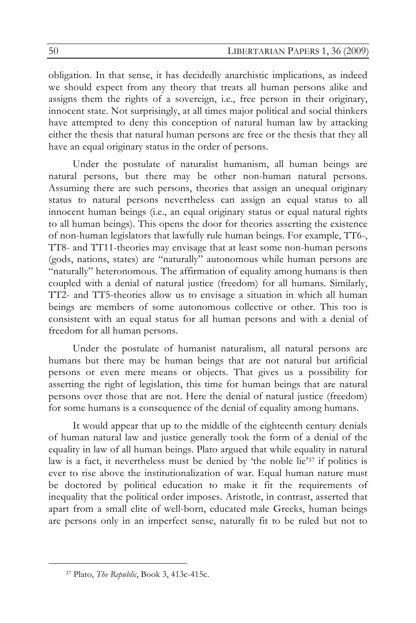obligation. In that sense, it has decidedly anarchistic implications, as indeed we should expect from any theory that treats all human persons alike and assigns them the rights of a sovereign, i.e., free person in their originary, innocent state. Not surprisingly, at all times major political and social thinkers have attempted to deny this conception of natural human law by attacking either the thesis that natural human persons are free or the thesis that they all have an equal originary status in the order of persons.

Under the postulate of naturalist humanism, all human beings are natural persons, but there may be other non-human natural persons. Assuming there are such persons, theories that assign an unequal originary status to natural persons nevertheless can assign an equal status to all innocent human beings (i.e., an equal originary status or equal natural rights to all human beings). This opens the door for theories asserting the existence of non-human legislators that lawfully rule human beings. For example, TT6-, TT8- and TT11-theories may envisage that at least some non-human persons (gods, nations, states) are "naturally" autonomous while human persons are "naturally" heteronomous. The affirmation of equality among humans is then coupled with a denial of natural justice (freedom) for all humans. Similarly, TT2- and TT5-theories allow us to envisage a situation in which all human beings are members of some autonomous collective or other. This too is consistent with an equal status for all human persons and with a denial of freedom for all human persons.

Under the postulate of humanist naturalism, all natural persons are humans but there may be human beings that are not natural but artificial persons or even mere means or objects. That gives us a possibility for asserting the right of legislation, this time for human beings that are natural persons over those that are not. Here the denial of natural justice (freedom) for some humans is a consequence of the denial of equality among humans.

It would appear that up to the middle of the eighteenth century denials of human natural law and justice generally took the form of a denial of the equality in law of all human beings. Plato argued that while equality in natural law is a fact, it nevertheless must be denied by 'the noble lie'37 if politics is ever to rise above the institutionalization of war. Equal human nature must be doctored by political education to make it fit the requirements of inequality that the political order imposes. Aristotle, in contrast, asserted that apart from a small elite of well-born, educated male Greeks, human beings are persons only in an imperfect sense, naturally fit to be ruled but not to

 <sup>37</sup> Plato, *The Republic*, Book 3, 413c-415c.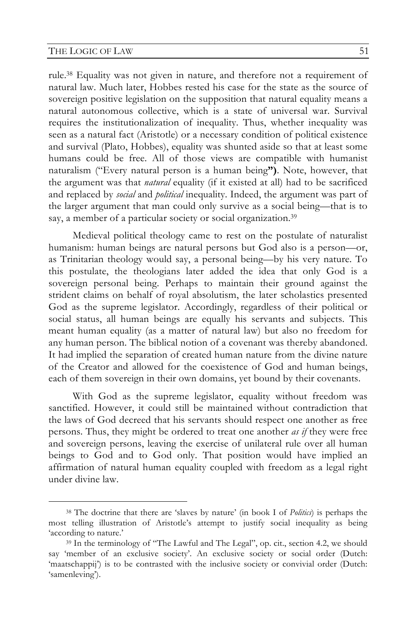rule.38 Equality was not given in nature, and therefore not a requirement of natural law. Much later, Hobbes rested his case for the state as the source of sovereign positive legislation on the supposition that natural equality means a natural autonomous collective, which is a state of universal war. Survival requires the institutionalization of inequality. Thus, whether inequality was seen as a natural fact (Aristotle) or a necessary condition of political existence and survival (Plato, Hobbes), equality was shunted aside so that at least some humans could be free. All of those views are compatible with humanist naturalism ("Every natural person is a human being**")**. Note, however, that the argument was that *natural* equality (if it existed at all) had to be sacrificed and replaced by *social* and *political* inequality. Indeed, the argument was part of the larger argument that man could only survive as a social being—that is to say, a member of a particular society or social organization.<sup>39</sup>

Medieval political theology came to rest on the postulate of naturalist humanism: human beings are natural persons but God also is a person—or, as Trinitarian theology would say, a personal being—by his very nature. To this postulate, the theologians later added the idea that only God is a sovereign personal being. Perhaps to maintain their ground against the strident claims on behalf of royal absolutism, the later scholastics presented God as the supreme legislator. Accordingly, regardless of their political or social status, all human beings are equally his servants and subjects. This meant human equality (as a matter of natural law) but also no freedom for any human person. The biblical notion of a covenant was thereby abandoned. It had implied the separation of created human nature from the divine nature of the Creator and allowed for the coexistence of God and human beings, each of them sovereign in their own domains, yet bound by their covenants.

With God as the supreme legislator, equality without freedom was sanctified. However, it could still be maintained without contradiction that the laws of God decreed that his servants should respect one another as free persons. Thus, they might be ordered to treat one another *as if* they were free and sovereign persons, leaving the exercise of unilateral rule over all human beings to God and to God only. That position would have implied an affirmation of natural human equality coupled with freedom as a legal right under divine law.

 <sup>38</sup> The doctrine that there are 'slaves by nature' (in book I of *Politics*) is perhaps the most telling illustration of Aristotle's attempt to justify social inequality as being 'according to nature.'

<sup>39</sup> In the terminology of "The Lawful and The Legal", op. cit., section 4.2, we should say 'member of an exclusive society'. An exclusive society or social order (Dutch: 'maatschappij') is to be contrasted with the inclusive society or convivial order (Dutch: 'samenleving').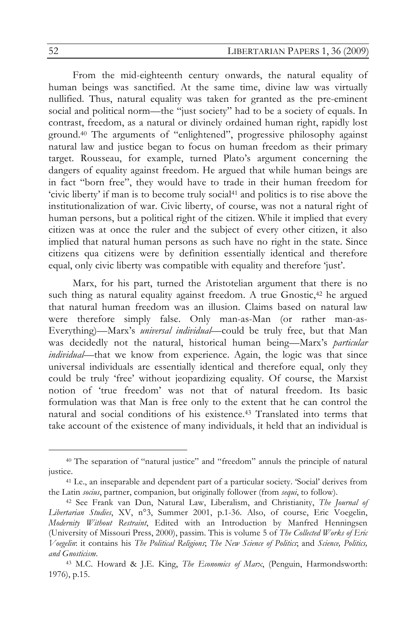From the mid-eighteenth century onwards, the natural equality of human beings was sanctified. At the same time, divine law was virtually nullified. Thus, natural equality was taken for granted as the pre-eminent social and political norm—the "just society" had to be a society of equals. In contrast, freedom, as a natural or divinely ordained human right, rapidly lost ground.40 The arguments of "enlightened", progressive philosophy against natural law and justice began to focus on human freedom as their primary target. Rousseau, for example, turned Plato's argument concerning the dangers of equality against freedom. He argued that while human beings are in fact "born free", they would have to trade in their human freedom for 'civic liberty' if man is to become truly social41 and politics is to rise above the institutionalization of war. Civic liberty, of course, was not a natural right of human persons, but a political right of the citizen. While it implied that every citizen was at once the ruler and the subject of every other citizen, it also implied that natural human persons as such have no right in the state. Since citizens qua citizens were by definition essentially identical and therefore equal, only civic liberty was compatible with equality and therefore 'just'.

Marx, for his part, turned the Aristotelian argument that there is no such thing as natural equality against freedom. A true Gnostic,<sup>42</sup> he argued that natural human freedom was an illusion. Claims based on natural law were therefore simply false. Only man-as-Man (or rather man-as-Everything)—Marx's *universal individual*—could be truly free, but that Man was decidedly not the natural, historical human being—Marx's *particular individual*—that we know from experience. Again, the logic was that since universal individuals are essentially identical and therefore equal, only they could be truly 'free' without jeopardizing equality. Of course, the Marxist notion of 'true freedom' was not that of natural freedom. Its basic formulation was that Man is free only to the extent that he can control the natural and social conditions of his existence.43 Translated into terms that take account of the existence of many individuals, it held that an individual is

 <sup>40</sup> The separation of "natural justice" and "freedom" annuls the principle of natural justice.

<sup>41</sup> I.e., an inseparable and dependent part of a particular society. 'Social' derives from the Latin *socius*, partner, companion, but originally follower (from *sequi*, to follow). 42 See Frank van Dun, Natural Law, Liberalism, and Christianity, *The Journal of* 

*Libertarian Studies*, XV, n°3, Summer 2001, p.1-36. Also, of course, Eric Voegelin, *Modernity Without Restraint*, Edited with an Introduction by Manfred Henningsen (University of Missouri Press, 2000), passim. This is volume 5 of *The Collected Works of Eric Voegelin*: it contains his *The Political Religions*; *The New Science of Politics*; and *Science, Politics, and Gnosticism*.

<sup>43</sup> M.C. Howard & J.E. King, *The Economics of Marx*, (Penguin, Harmondsworth: 1976), p.15.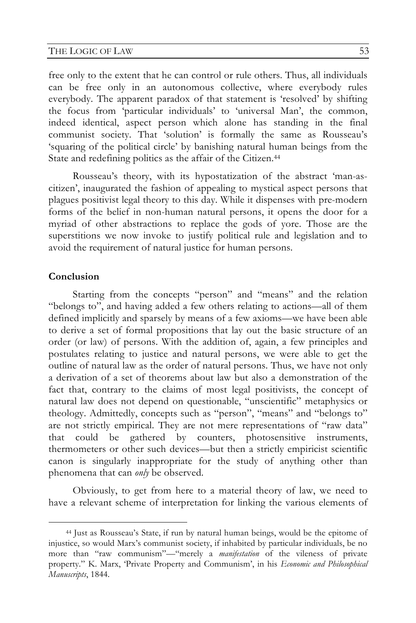#### THE LOGIC OF LAW 53

free only to the extent that he can control or rule others. Thus, all individuals can be free only in an autonomous collective, where everybody rules everybody. The apparent paradox of that statement is 'resolved' by shifting the focus from 'particular individuals' to 'universal Man', the common, indeed identical, aspect person which alone has standing in the final communist society. That 'solution' is formally the same as Rousseau's 'squaring of the political circle' by banishing natural human beings from the State and redefining politics as the affair of the Citizen.<sup>44</sup>

Rousseau's theory, with its hypostatization of the abstract 'man-ascitizen', inaugurated the fashion of appealing to mystical aspect persons that plagues positivist legal theory to this day. While it dispenses with pre-modern forms of the belief in non-human natural persons, it opens the door for a myriad of other abstractions to replace the gods of yore. Those are the superstitions we now invoke to justify political rule and legislation and to avoid the requirement of natural justice for human persons.

#### **Conclusion**

Starting from the concepts "person" and "means" and the relation "belongs to", and having added a few others relating to actions—all of them defined implicitly and sparsely by means of a few axioms—we have been able to derive a set of formal propositions that lay out the basic structure of an order (or law) of persons. With the addition of, again, a few principles and postulates relating to justice and natural persons, we were able to get the outline of natural law as the order of natural persons. Thus, we have not only a derivation of a set of theorems about law but also a demonstration of the fact that, contrary to the claims of most legal positivists, the concept of natural law does not depend on questionable, "unscientific" metaphysics or theology. Admittedly, concepts such as "person", "means" and "belongs to" are not strictly empirical. They are not mere representations of "raw data" that could be gathered by counters, photosensitive instruments, thermometers or other such devices—but then a strictly empiricist scientific canon is singularly inappropriate for the study of anything other than phenomena that can *only* be observed.

Obviously, to get from here to a material theory of law, we need to have a relevant scheme of interpretation for linking the various elements of

 <sup>44</sup> Just as Rousseau's State, if run by natural human beings, would be the epitome of injustice, so would Marx's communist society, if inhabited by particular individuals, be no more than "raw communism"—"merely a *manifestation* of the vileness of private property." K. Marx, 'Private Property and Communism', in his *Economic and Philosophical Manuscripts*, 1844.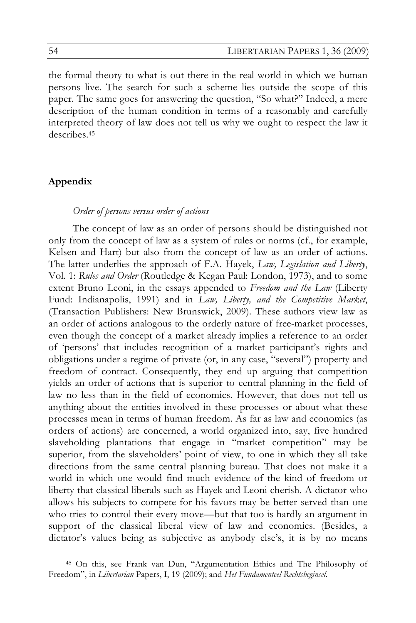the formal theory to what is out there in the real world in which we human persons live. The search for such a scheme lies outside the scope of this paper. The same goes for answering the question, "So what?" Indeed, a mere description of the human condition in terms of a reasonably and carefully interpreted theory of law does not tell us why we ought to respect the law it describes.45

## **Appendix**

#### *Order of persons versus order of actions*

The concept of law as an order of persons should be distinguished not only from the concept of law as a system of rules or norms (cf., for example, Kelsen and Hart) but also from the concept of law as an order of actions. The latter underlies the approach of F.A. Hayek, *Law, Legislation and Liberty*, Vol. 1: *Rules and Order* (Routledge & Kegan Paul: London, 1973), and to some extent Bruno Leoni, in the essays appended to *Freedom and the Law* (Liberty Fund: Indianapolis, 1991) and in *Law, Liberty, and the Competitive Market*, (Transaction Publishers: New Brunswick, 2009). These authors view law as an order of actions analogous to the orderly nature of free-market processes, even though the concept of a market already implies a reference to an order of 'persons' that includes recognition of a market participant's rights and obligations under a regime of private (or, in any case, "several") property and freedom of contract. Consequently, they end up arguing that competition yields an order of actions that is superior to central planning in the field of law no less than in the field of economics. However, that does not tell us anything about the entities involved in these processes or about what these processes mean in terms of human freedom. As far as law and economics (as orders of actions) are concerned, a world organized into, say, five hundred slaveholding plantations that engage in "market competition" may be superior, from the slaveholders' point of view, to one in which they all take directions from the same central planning bureau. That does not make it a world in which one would find much evidence of the kind of freedom or liberty that classical liberals such as Hayek and Leoni cherish. A dictator who allows his subjects to compete for his favors may be better served than one who tries to control their every move—but that too is hardly an argument in support of the classical liberal view of law and economics. (Besides, a dictator's values being as subjective as anybody else's, it is by no means

 <sup>45</sup> On this, see Frank van Dun, "Argumentation Ethics and The Philosophy of Freedom", in *Libertarian* Papers, I, 19 (2009); and *Het Fundamenteel Rechtsbeginsel.*